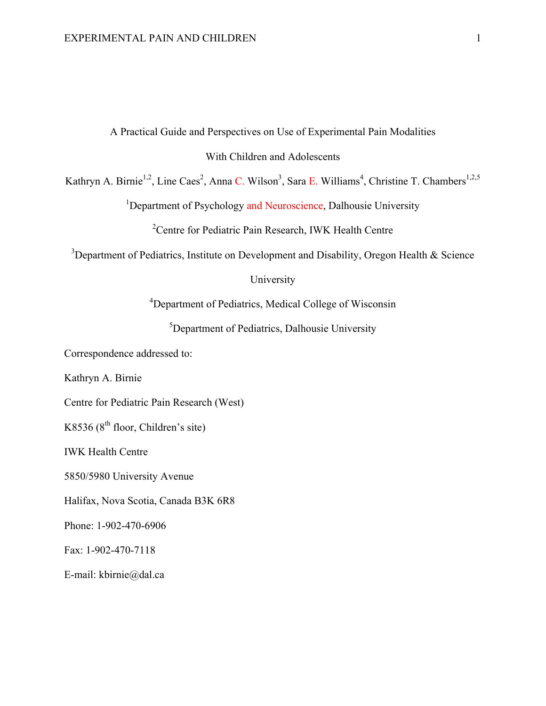# A Practical Guide and Perspectives on Use of Experimental Pain Modalities With Children and Adolescents

Kathryn A. Birnie<sup>1,2</sup>, Line Caes<sup>2</sup>, Anna C. Wilson<sup>3</sup>, Sara E. Williams<sup>4</sup>, Christine T. Chambers<sup>1,2,5</sup>

<sup>1</sup>Department of Psychology and Neuroscience, Dalhousie University

<sup>2</sup> Centre for Pediatric Pain Research, IWK Health Centre

<sup>3</sup>Department of Pediatrics, Institute on Development and Disability, Oregon Health & Science

# University

<sup>4</sup>Department of Pediatrics, Medical College of Wisconsin

<sup>5</sup>Department of Pediatrics, Dalhousie University

Correspondence addressed to:

Kathryn A. Birnie

Centre for Pediatric Pain Research (West)

K8536 ( $8<sup>th</sup>$  floor, Children's site)

IWK Health Centre

5850/5980 University Avenue

Halifax, Nova Scotia, Canada B3K 6R8

Phone: 1-902-470-6906

Fax: 1-902-470-7118

E-mail: kbirnie@dal.ca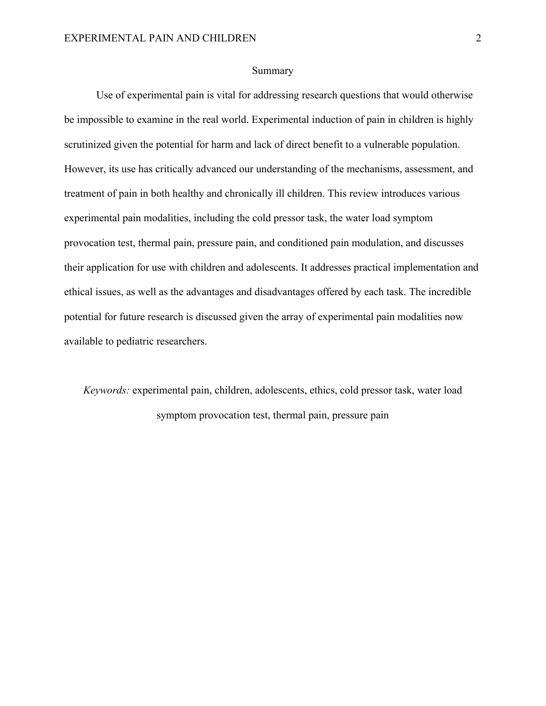#### Summary

Use of experimental pain is vital for addressing research questions that would otherwise be impossible to examine in the real world. Experimental induction of pain in children is highly scrutinized given the potential for harm and lack of direct benefit to a vulnerable population. However, its use has critically advanced our understanding of the mechanisms, assessment, and treatment of pain in both healthy and chronically ill children. This review introduces various experimental pain modalities, including the cold pressor task, the water load symptom provocation test, thermal pain, pressure pain, and conditioned pain modulation, and discusses their application for use with children and adolescents. It addresses practical implementation and ethical issues, as well as the advantages and disadvantages offered by each task. The incredible potential for future research is discussed given the array of experimental pain modalities now available to pediatric researchers.

*Keywords:* experimental pain, children, adolescents, ethics, cold pressor task, water load symptom provocation test, thermal pain, pressure pain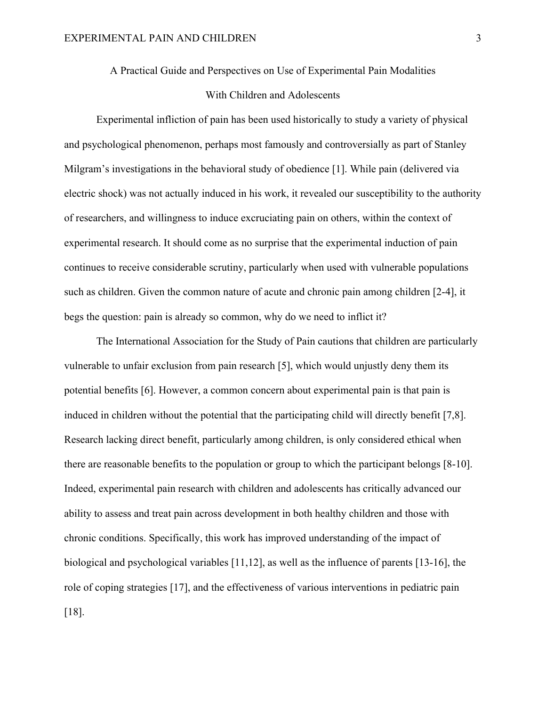A Practical Guide and Perspectives on Use of Experimental Pain Modalities

# With Children and Adolescents

Experimental infliction of pain has been used historically to study a variety of physical and psychological phenomenon, perhaps most famously and controversially as part of Stanley Milgram's investigations in the behavioral study of obedience [1]. While pain (delivered via electric shock) was not actually induced in his work, it revealed our susceptibility to the authority of researchers, and willingness to induce excruciating pain on others, within the context of experimental research. It should come as no surprise that the experimental induction of pain continues to receive considerable scrutiny, particularly when used with vulnerable populations such as children. Given the common nature of acute and chronic pain among children [2-4], it begs the question: pain is already so common, why do we need to inflict it?

The International Association for the Study of Pain cautions that children are particularly vulnerable to unfair exclusion from pain research [5], which would unjustly deny them its potential benefits [6]. However, a common concern about experimental pain is that pain is induced in children without the potential that the participating child will directly benefit [7,8]. Research lacking direct benefit, particularly among children, is only considered ethical when there are reasonable benefits to the population or group to which the participant belongs [8-10]. Indeed, experimental pain research with children and adolescents has critically advanced our ability to assess and treat pain across development in both healthy children and those with chronic conditions. Specifically, this work has improved understanding of the impact of biological and psychological variables [11,12], as well as the influence of parents [13-16], the role of coping strategies [17], and the effectiveness of various interventions in pediatric pain [18].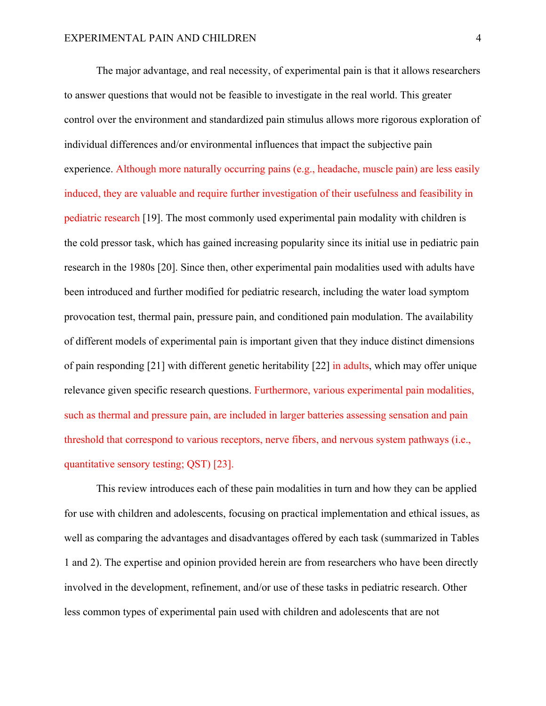The major advantage, and real necessity, of experimental pain is that it allows researchers to answer questions that would not be feasible to investigate in the real world. This greater control over the environment and standardized pain stimulus allows more rigorous exploration of individual differences and/or environmental influences that impact the subjective pain experience. Although more naturally occurring pains (e.g., headache, muscle pain) are less easily induced, they are valuable and require further investigation of their usefulness and feasibility in pediatric research [19]. The most commonly used experimental pain modality with children is the cold pressor task, which has gained increasing popularity since its initial use in pediatric pain research in the 1980s [20]. Since then, other experimental pain modalities used with adults have been introduced and further modified for pediatric research, including the water load symptom provocation test, thermal pain, pressure pain, and conditioned pain modulation. The availability of different models of experimental pain is important given that they induce distinct dimensions of pain responding [21] with different genetic heritability [22] in adults, which may offer unique relevance given specific research questions. Furthermore, various experimental pain modalities, such as thermal and pressure pain, are included in larger batteries assessing sensation and pain threshold that correspond to various receptors, nerve fibers, and nervous system pathways (i.e., quantitative sensory testing; QST) [23].

This review introduces each of these pain modalities in turn and how they can be applied for use with children and adolescents, focusing on practical implementation and ethical issues, as well as comparing the advantages and disadvantages offered by each task (summarized in Tables 1 and 2). The expertise and opinion provided herein are from researchers who have been directly involved in the development, refinement, and/or use of these tasks in pediatric research. Other less common types of experimental pain used with children and adolescents that are not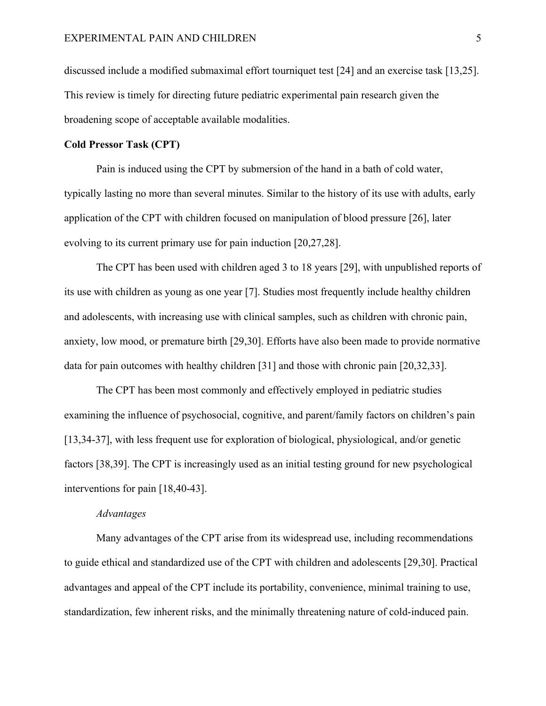discussed include a modified submaximal effort tourniquet test [24] and an exercise task [13,25]. This review is timely for directing future pediatric experimental pain research given the broadening scope of acceptable available modalities.

#### **Cold Pressor Task (CPT)**

Pain is induced using the CPT by submersion of the hand in a bath of cold water, typically lasting no more than several minutes. Similar to the history of its use with adults, early application of the CPT with children focused on manipulation of blood pressure [26], later evolving to its current primary use for pain induction [20,27,28].

The CPT has been used with children aged 3 to 18 years [29], with unpublished reports of its use with children as young as one year [7]. Studies most frequently include healthy children and adolescents, with increasing use with clinical samples, such as children with chronic pain, anxiety, low mood, or premature birth [29,30]. Efforts have also been made to provide normative data for pain outcomes with healthy children [31] and those with chronic pain [20,32,33].

The CPT has been most commonly and effectively employed in pediatric studies examining the influence of psychosocial, cognitive, and parent/family factors on children's pain [13,34-37], with less frequent use for exploration of biological, physiological, and/or genetic factors [38,39]. The CPT is increasingly used as an initial testing ground for new psychological interventions for pain [18,40-43].

#### *Advantages*

Many advantages of the CPT arise from its widespread use, including recommendations to guide ethical and standardized use of the CPT with children and adolescents [29,30]. Practical advantages and appeal of the CPT include its portability, convenience, minimal training to use, standardization, few inherent risks, and the minimally threatening nature of cold-induced pain.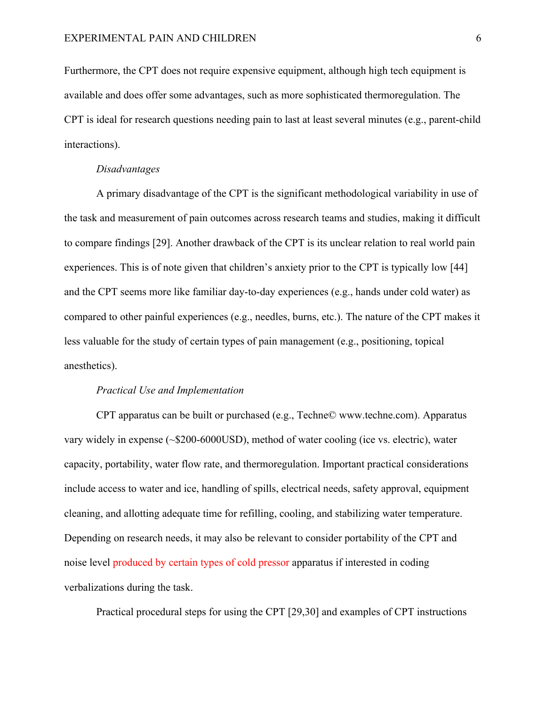Furthermore, the CPT does not require expensive equipment, although high tech equipment is available and does offer some advantages, such as more sophisticated thermoregulation. The CPT is ideal for research questions needing pain to last at least several minutes (e.g., parent-child interactions).

#### *Disadvantages*

A primary disadvantage of the CPT is the significant methodological variability in use of the task and measurement of pain outcomes across research teams and studies, making it difficult to compare findings [29]. Another drawback of the CPT is its unclear relation to real world pain experiences. This is of note given that children's anxiety prior to the CPT is typically low [44] and the CPT seems more like familiar day-to-day experiences (e.g., hands under cold water) as compared to other painful experiences (e.g., needles, burns, etc.). The nature of the CPT makes it less valuable for the study of certain types of pain management (e.g., positioning, topical anesthetics).

#### *Practical Use and Implementation*

CPT apparatus can be built or purchased (e.g., Techne© www.techne.com). Apparatus vary widely in expense (~\$200-6000USD), method of water cooling (ice vs. electric), water capacity, portability, water flow rate, and thermoregulation. Important practical considerations include access to water and ice, handling of spills, electrical needs, safety approval, equipment cleaning, and allotting adequate time for refilling, cooling, and stabilizing water temperature. Depending on research needs, it may also be relevant to consider portability of the CPT and noise level produced by certain types of cold pressor apparatus if interested in coding verbalizations during the task.

Practical procedural steps for using the CPT [29,30] and examples of CPT instructions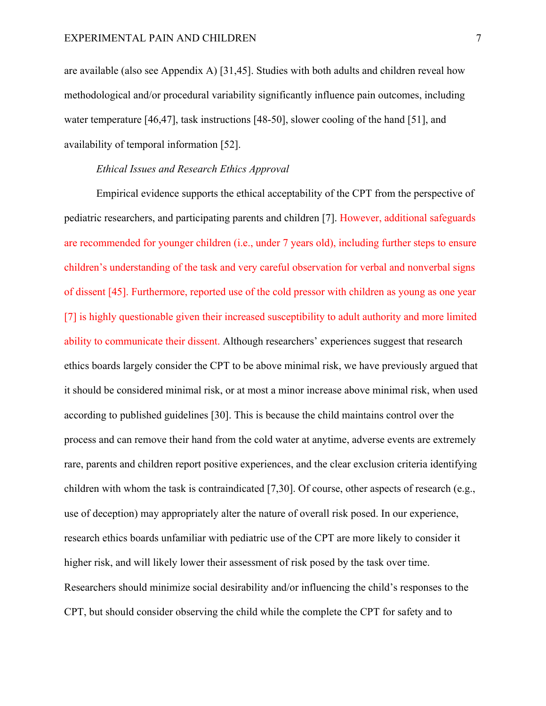are available (also see Appendix A) [31,45]. Studies with both adults and children reveal how methodological and/or procedural variability significantly influence pain outcomes, including water temperature [46,47], task instructions [48-50], slower cooling of the hand [51], and availability of temporal information [52].

# *Ethical Issues and Research Ethics Approval*

Empirical evidence supports the ethical acceptability of the CPT from the perspective of pediatric researchers, and participating parents and children [7]. However, additional safeguards are recommended for younger children (i.e., under 7 years old), including further steps to ensure children's understanding of the task and very careful observation for verbal and nonverbal signs of dissent [45]. Furthermore, reported use of the cold pressor with children as young as one year [7] is highly questionable given their increased susceptibility to adult authority and more limited ability to communicate their dissent. Although researchers' experiences suggest that research ethics boards largely consider the CPT to be above minimal risk, we have previously argued that it should be considered minimal risk, or at most a minor increase above minimal risk, when used according to published guidelines [30]. This is because the child maintains control over the process and can remove their hand from the cold water at anytime, adverse events are extremely rare, parents and children report positive experiences, and the clear exclusion criteria identifying children with whom the task is contraindicated [7,30]. Of course, other aspects of research (e.g., use of deception) may appropriately alter the nature of overall risk posed. In our experience, research ethics boards unfamiliar with pediatric use of the CPT are more likely to consider it higher risk, and will likely lower their assessment of risk posed by the task over time. Researchers should minimize social desirability and/or influencing the child's responses to the CPT, but should consider observing the child while the complete the CPT for safety and to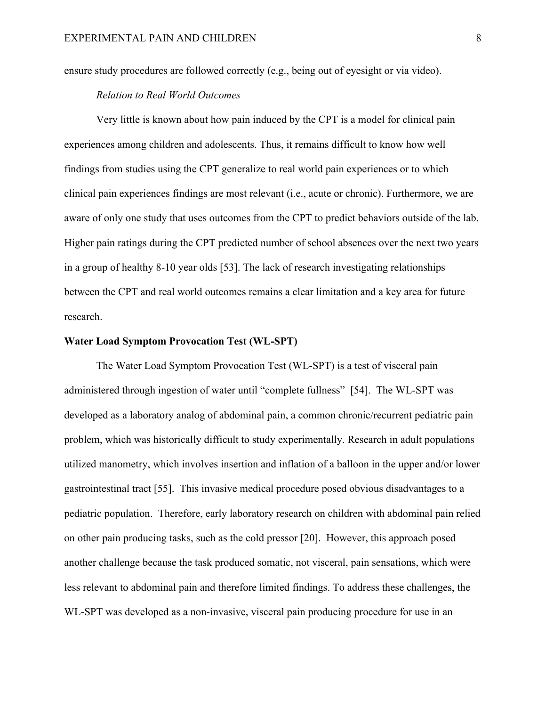ensure study procedures are followed correctly (e.g., being out of eyesight or via video).

# *Relation to Real World Outcomes*

Very little is known about how pain induced by the CPT is a model for clinical pain experiences among children and adolescents. Thus, it remains difficult to know how well findings from studies using the CPT generalize to real world pain experiences or to which clinical pain experiences findings are most relevant (i.e., acute or chronic). Furthermore, we are aware of only one study that uses outcomes from the CPT to predict behaviors outside of the lab. Higher pain ratings during the CPT predicted number of school absences over the next two years in a group of healthy 8-10 year olds [53]. The lack of research investigating relationships between the CPT and real world outcomes remains a clear limitation and a key area for future research.

# **Water Load Symptom Provocation Test (WL-SPT)**

The Water Load Symptom Provocation Test (WL-SPT) is a test of visceral pain administered through ingestion of water until "complete fullness" [54]. The WL-SPT was developed as a laboratory analog of abdominal pain, a common chronic/recurrent pediatric pain problem, which was historically difficult to study experimentally. Research in adult populations utilized manometry, which involves insertion and inflation of a balloon in the upper and/or lower gastrointestinal tract [55]. This invasive medical procedure posed obvious disadvantages to a pediatric population. Therefore, early laboratory research on children with abdominal pain relied on other pain producing tasks, such as the cold pressor [20]. However, this approach posed another challenge because the task produced somatic, not visceral, pain sensations, which were less relevant to abdominal pain and therefore limited findings. To address these challenges, the WL-SPT was developed as a non-invasive, visceral pain producing procedure for use in an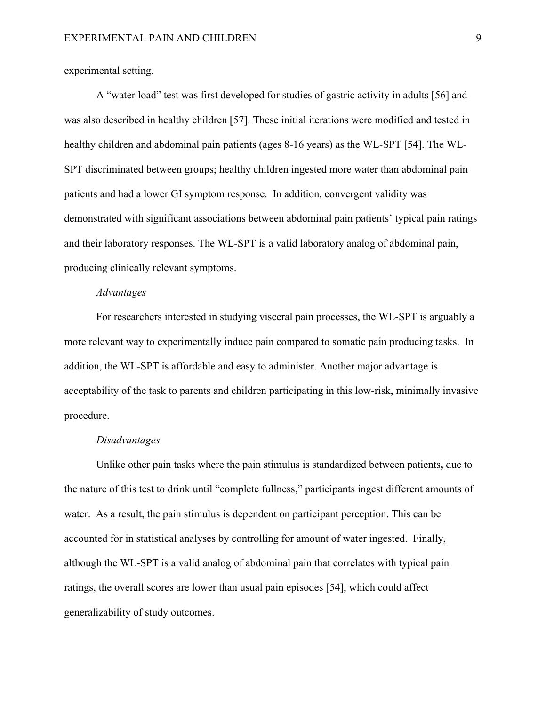experimental setting.

A "water load" test was first developed for studies of gastric activity in adults [56] and was also described in healthy children [57]. These initial iterations were modified and tested in healthy children and abdominal pain patients (ages 8-16 years) as the WL-SPT [54]. The WL-SPT discriminated between groups; healthy children ingested more water than abdominal pain patients and had a lower GI symptom response. In addition, convergent validity was demonstrated with significant associations between abdominal pain patients' typical pain ratings and their laboratory responses. The WL-SPT is a valid laboratory analog of abdominal pain, producing clinically relevant symptoms.

#### *Advantages*

For researchers interested in studying visceral pain processes, the WL-SPT is arguably a more relevant way to experimentally induce pain compared to somatic pain producing tasks. In addition, the WL-SPT is affordable and easy to administer. Another major advantage is acceptability of the task to parents and children participating in this low-risk, minimally invasive procedure.

#### *Disadvantages*

Unlike other pain tasks where the pain stimulus is standardized between patients**,** due to the nature of this test to drink until "complete fullness," participants ingest different amounts of water. As a result, the pain stimulus is dependent on participant perception. This can be accounted for in statistical analyses by controlling for amount of water ingested. Finally, although the WL-SPT is a valid analog of abdominal pain that correlates with typical pain ratings, the overall scores are lower than usual pain episodes [54], which could affect generalizability of study outcomes.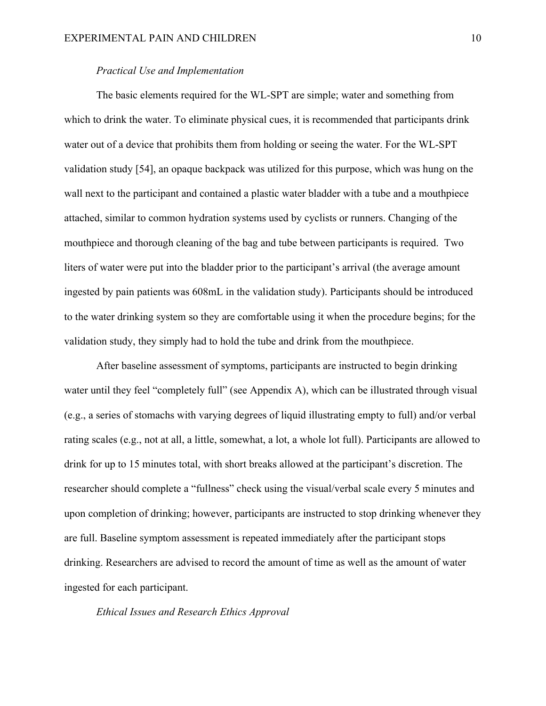#### *Practical Use and Implementation*

The basic elements required for the WL-SPT are simple; water and something from which to drink the water. To eliminate physical cues, it is recommended that participants drink water out of a device that prohibits them from holding or seeing the water. For the WL-SPT validation study [54], an opaque backpack was utilized for this purpose, which was hung on the wall next to the participant and contained a plastic water bladder with a tube and a mouthpiece attached, similar to common hydration systems used by cyclists or runners. Changing of the mouthpiece and thorough cleaning of the bag and tube between participants is required. Two liters of water were put into the bladder prior to the participant's arrival (the average amount ingested by pain patients was 608mL in the validation study). Participants should be introduced to the water drinking system so they are comfortable using it when the procedure begins; for the validation study, they simply had to hold the tube and drink from the mouthpiece.

After baseline assessment of symptoms, participants are instructed to begin drinking water until they feel "completely full" (see Appendix A), which can be illustrated through visual (e.g., a series of stomachs with varying degrees of liquid illustrating empty to full) and/or verbal rating scales (e.g., not at all, a little, somewhat, a lot, a whole lot full). Participants are allowed to drink for up to 15 minutes total, with short breaks allowed at the participant's discretion. The researcher should complete a "fullness" check using the visual/verbal scale every 5 minutes and upon completion of drinking; however, participants are instructed to stop drinking whenever they are full. Baseline symptom assessment is repeated immediately after the participant stops drinking. Researchers are advised to record the amount of time as well as the amount of water ingested for each participant.

*Ethical Issues and Research Ethics Approval*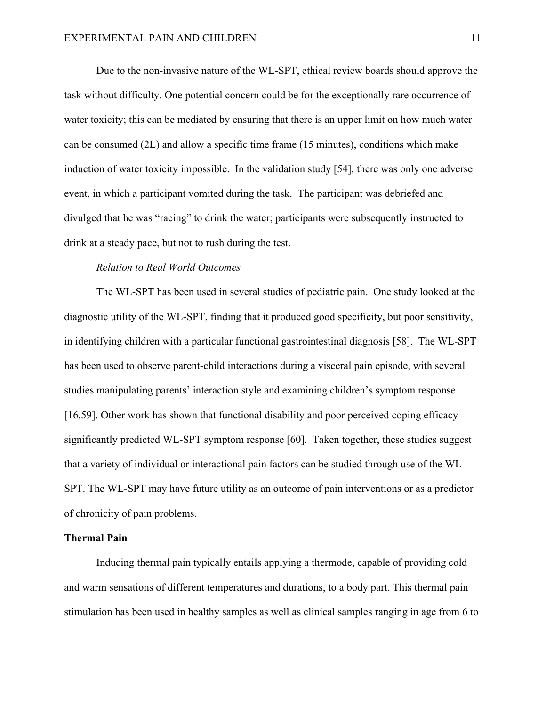Due to the non-invasive nature of the WL-SPT, ethical review boards should approve the task without difficulty. One potential concern could be for the exceptionally rare occurrence of water toxicity; this can be mediated by ensuring that there is an upper limit on how much water can be consumed (2L) and allow a specific time frame (15 minutes), conditions which make induction of water toxicity impossible. In the validation study [54], there was only one adverse event, in which a participant vomited during the task. The participant was debriefed and divulged that he was "racing" to drink the water; participants were subsequently instructed to drink at a steady pace, but not to rush during the test.

#### *Relation to Real World Outcomes*

The WL-SPT has been used in several studies of pediatric pain. One study looked at the diagnostic utility of the WL-SPT, finding that it produced good specificity, but poor sensitivity, in identifying children with a particular functional gastrointestinal diagnosis [58]. The WL-SPT has been used to observe parent-child interactions during a visceral pain episode, with several studies manipulating parents' interaction style and examining children's symptom response [16,59]. Other work has shown that functional disability and poor perceived coping efficacy significantly predicted WL-SPT symptom response [60]. Taken together, these studies suggest that a variety of individual or interactional pain factors can be studied through use of the WL-SPT. The WL-SPT may have future utility as an outcome of pain interventions or as a predictor of chronicity of pain problems.

#### **Thermal Pain**

Inducing thermal pain typically entails applying a thermode, capable of providing cold and warm sensations of different temperatures and durations, to a body part. This thermal pain stimulation has been used in healthy samples as well as clinical samples ranging in age from 6 to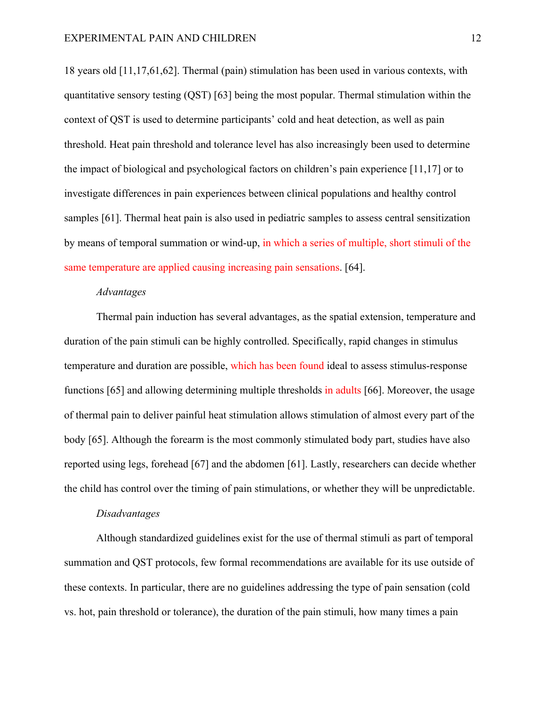18 years old [11,17,61,62]. Thermal (pain) stimulation has been used in various contexts, with quantitative sensory testing (QST) [63] being the most popular. Thermal stimulation within the context of QST is used to determine participants' cold and heat detection, as well as pain threshold. Heat pain threshold and tolerance level has also increasingly been used to determine the impact of biological and psychological factors on children's pain experience [11,17] or to investigate differences in pain experiences between clinical populations and healthy control samples [61]. Thermal heat pain is also used in pediatric samples to assess central sensitization by means of temporal summation or wind-up, in which a series of multiple, short stimuli of the same temperature are applied causing increasing pain sensations. [64].

# *Advantages*

Thermal pain induction has several advantages, as the spatial extension, temperature and duration of the pain stimuli can be highly controlled. Specifically, rapid changes in stimulus temperature and duration are possible, which has been found ideal to assess stimulus-response functions [65] and allowing determining multiple thresholds in adults [66]. Moreover, the usage of thermal pain to deliver painful heat stimulation allows stimulation of almost every part of the body [65]. Although the forearm is the most commonly stimulated body part, studies have also reported using legs, forehead [67] and the abdomen [61]. Lastly, researchers can decide whether the child has control over the timing of pain stimulations, or whether they will be unpredictable.

#### *Disadvantages*

Although standardized guidelines exist for the use of thermal stimuli as part of temporal summation and QST protocols, few formal recommendations are available for its use outside of these contexts. In particular, there are no guidelines addressing the type of pain sensation (cold vs. hot, pain threshold or tolerance), the duration of the pain stimuli, how many times a pain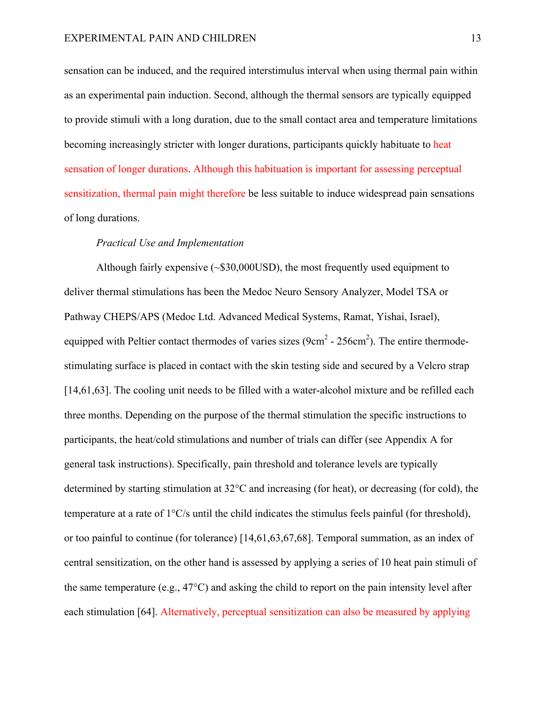sensation can be induced, and the required interstimulus interval when using thermal pain within as an experimental pain induction. Second, although the thermal sensors are typically equipped to provide stimuli with a long duration, due to the small contact area and temperature limitations becoming increasingly stricter with longer durations, participants quickly habituate to heat sensation of longer durations. Although this habituation is important for assessing perceptual sensitization, thermal pain might therefore be less suitable to induce widespread pain sensations of long durations.

#### *Practical Use and Implementation*

Although fairly expensive (~\$30,000USD), the most frequently used equipment to deliver thermal stimulations has been the Medoc Neuro Sensory Analyzer, Model TSA or Pathway CHEPS/APS (Medoc Ltd. Advanced Medical Systems, Ramat, Yishai, Israel), equipped with Peltier contact thermodes of varies sizes  $(9cm^2 - 256cm^2)$ . The entire thermodestimulating surface is placed in contact with the skin testing side and secured by a Velcro strap [14,61,63]. The cooling unit needs to be filled with a water-alcohol mixture and be refilled each three months. Depending on the purpose of the thermal stimulation the specific instructions to participants, the heat/cold stimulations and number of trials can differ (see Appendix A for general task instructions). Specifically, pain threshold and tolerance levels are typically determined by starting stimulation at 32°C and increasing (for heat), or decreasing (for cold), the temperature at a rate of 1°C/s until the child indicates the stimulus feels painful (for threshold), or too painful to continue (for tolerance) [14,61,63,67,68]. Temporal summation, as an index of central sensitization, on the other hand is assessed by applying a series of 10 heat pain stimuli of the same temperature (e.g., 47°C) and asking the child to report on the pain intensity level after each stimulation [64]. Alternatively, perceptual sensitization can also be measured by applying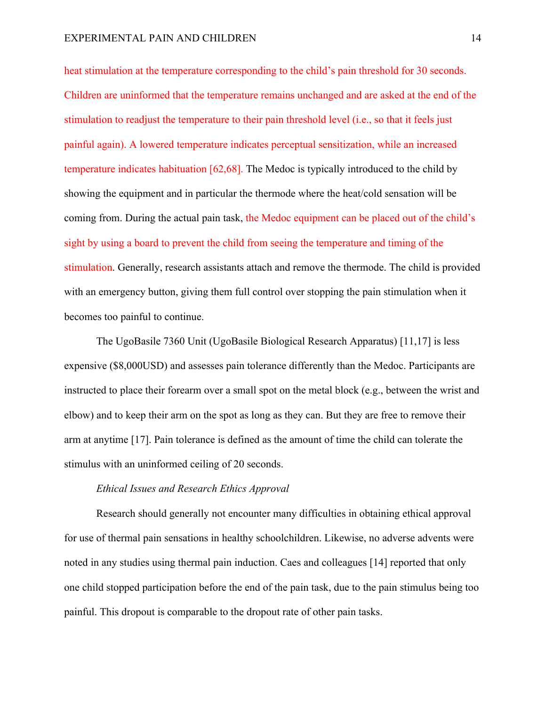heat stimulation at the temperature corresponding to the child's pain threshold for 30 seconds. Children are uninformed that the temperature remains unchanged and are asked at the end of the stimulation to readjust the temperature to their pain threshold level (i.e., so that it feels just painful again). A lowered temperature indicates perceptual sensitization, while an increased temperature indicates habituation [62,68]. The Medoc is typically introduced to the child by showing the equipment and in particular the thermode where the heat/cold sensation will be coming from. During the actual pain task, the Medoc equipment can be placed out of the child's sight by using a board to prevent the child from seeing the temperature and timing of the stimulation. Generally, research assistants attach and remove the thermode. The child is provided with an emergency button, giving them full control over stopping the pain stimulation when it becomes too painful to continue.

The UgoBasile 7360 Unit (UgoBasile Biological Research Apparatus) [11,17] is less expensive (\$8,000USD) and assesses pain tolerance differently than the Medoc. Participants are instructed to place their forearm over a small spot on the metal block (e.g., between the wrist and elbow) and to keep their arm on the spot as long as they can. But they are free to remove their arm at anytime [17]. Pain tolerance is defined as the amount of time the child can tolerate the stimulus with an uninformed ceiling of 20 seconds.

# *Ethical Issues and Research Ethics Approval*

Research should generally not encounter many difficulties in obtaining ethical approval for use of thermal pain sensations in healthy schoolchildren. Likewise, no adverse advents were noted in any studies using thermal pain induction. Caes and colleagues [14] reported that only one child stopped participation before the end of the pain task, due to the pain stimulus being too painful. This dropout is comparable to the dropout rate of other pain tasks.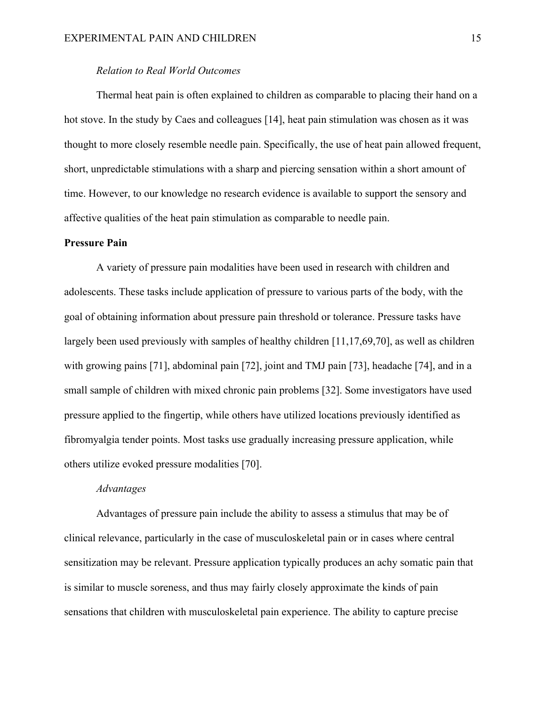#### *Relation to Real World Outcomes*

Thermal heat pain is often explained to children as comparable to placing their hand on a hot stove. In the study by Caes and colleagues [14], heat pain stimulation was chosen as it was thought to more closely resemble needle pain. Specifically, the use of heat pain allowed frequent, short, unpredictable stimulations with a sharp and piercing sensation within a short amount of time. However, to our knowledge no research evidence is available to support the sensory and affective qualities of the heat pain stimulation as comparable to needle pain.

#### **Pressure Pain**

A variety of pressure pain modalities have been used in research with children and adolescents. These tasks include application of pressure to various parts of the body, with the goal of obtaining information about pressure pain threshold or tolerance. Pressure tasks have largely been used previously with samples of healthy children [11,17,69,70], as well as children with growing pains [71], abdominal pain [72], joint and TMJ pain [73], headache [74], and in a small sample of children with mixed chronic pain problems [32]. Some investigators have used pressure applied to the fingertip, while others have utilized locations previously identified as fibromyalgia tender points. Most tasks use gradually increasing pressure application, while others utilize evoked pressure modalities [70].

#### *Advantages*

Advantages of pressure pain include the ability to assess a stimulus that may be of clinical relevance, particularly in the case of musculoskeletal pain or in cases where central sensitization may be relevant. Pressure application typically produces an achy somatic pain that is similar to muscle soreness, and thus may fairly closely approximate the kinds of pain sensations that children with musculoskeletal pain experience. The ability to capture precise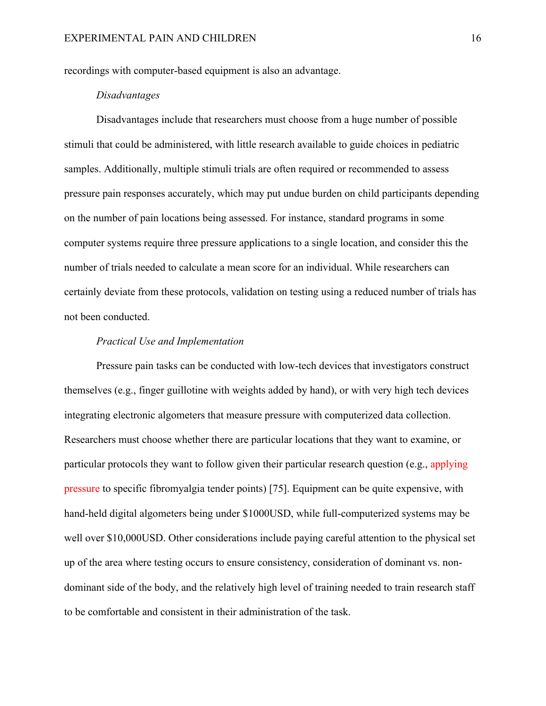recordings with computer-based equipment is also an advantage.

# *Disadvantages*

Disadvantages include that researchers must choose from a huge number of possible stimuli that could be administered, with little research available to guide choices in pediatric samples. Additionally, multiple stimuli trials are often required or recommended to assess pressure pain responses accurately, which may put undue burden on child participants depending on the number of pain locations being assessed. For instance, standard programs in some computer systems require three pressure applications to a single location, and consider this the number of trials needed to calculate a mean score for an individual. While researchers can certainly deviate from these protocols, validation on testing using a reduced number of trials has not been conducted.

#### *Practical Use and Implementation*

Pressure pain tasks can be conducted with low-tech devices that investigators construct themselves (e.g., finger guillotine with weights added by hand), or with very high tech devices integrating electronic algometers that measure pressure with computerized data collection. Researchers must choose whether there are particular locations that they want to examine, or particular protocols they want to follow given their particular research question (e.g., applying pressure to specific fibromyalgia tender points) [75]. Equipment can be quite expensive, with hand-held digital algometers being under \$1000USD, while full-computerized systems may be well over \$10,000USD. Other considerations include paying careful attention to the physical set up of the area where testing occurs to ensure consistency, consideration of dominant vs. nondominant side of the body, and the relatively high level of training needed to train research staff to be comfortable and consistent in their administration of the task.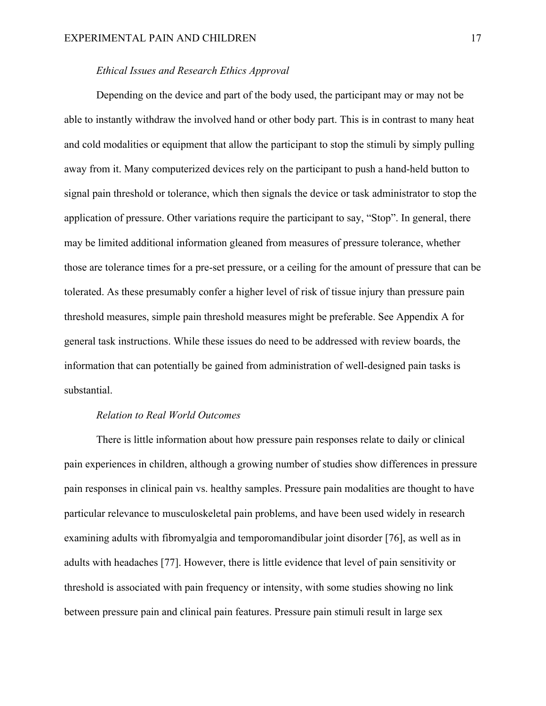# *Ethical Issues and Research Ethics Approval*

Depending on the device and part of the body used, the participant may or may not be able to instantly withdraw the involved hand or other body part. This is in contrast to many heat and cold modalities or equipment that allow the participant to stop the stimuli by simply pulling away from it. Many computerized devices rely on the participant to push a hand-held button to signal pain threshold or tolerance, which then signals the device or task administrator to stop the application of pressure. Other variations require the participant to say, "Stop". In general, there may be limited additional information gleaned from measures of pressure tolerance, whether those are tolerance times for a pre-set pressure, or a ceiling for the amount of pressure that can be tolerated. As these presumably confer a higher level of risk of tissue injury than pressure pain threshold measures, simple pain threshold measures might be preferable. See Appendix A for general task instructions. While these issues do need to be addressed with review boards, the information that can potentially be gained from administration of well-designed pain tasks is substantial.

#### *Relation to Real World Outcomes*

There is little information about how pressure pain responses relate to daily or clinical pain experiences in children, although a growing number of studies show differences in pressure pain responses in clinical pain vs. healthy samples. Pressure pain modalities are thought to have particular relevance to musculoskeletal pain problems, and have been used widely in research examining adults with fibromyalgia and temporomandibular joint disorder [76], as well as in adults with headaches [77]. However, there is little evidence that level of pain sensitivity or threshold is associated with pain frequency or intensity, with some studies showing no link between pressure pain and clinical pain features. Pressure pain stimuli result in large sex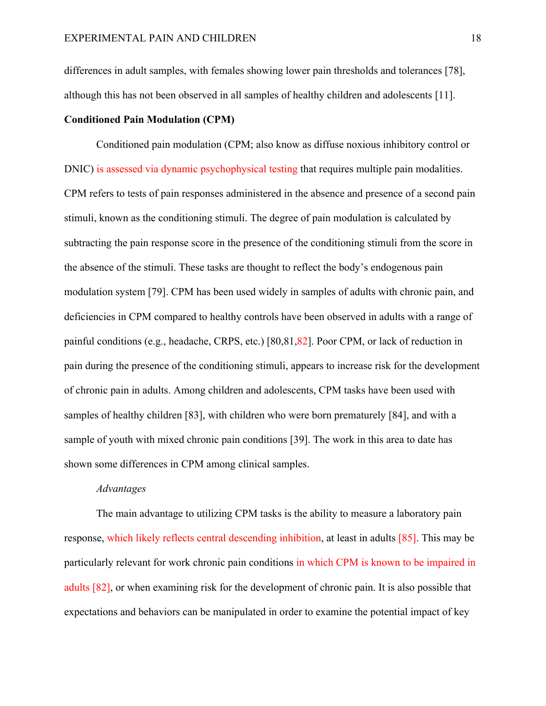differences in adult samples, with females showing lower pain thresholds and tolerances [78], although this has not been observed in all samples of healthy children and adolescents [11].

# **Conditioned Pain Modulation (CPM)**

Conditioned pain modulation (CPM; also know as diffuse noxious inhibitory control or DNIC) is assessed via dynamic psychophysical testing that requires multiple pain modalities. CPM refers to tests of pain responses administered in the absence and presence of a second pain stimuli, known as the conditioning stimuli. The degree of pain modulation is calculated by subtracting the pain response score in the presence of the conditioning stimuli from the score in the absence of the stimuli. These tasks are thought to reflect the body's endogenous pain modulation system [79]. CPM has been used widely in samples of adults with chronic pain, and deficiencies in CPM compared to healthy controls have been observed in adults with a range of painful conditions (e.g., headache, CRPS, etc.) [80,81,82]. Poor CPM, or lack of reduction in pain during the presence of the conditioning stimuli, appears to increase risk for the development of chronic pain in adults. Among children and adolescents, CPM tasks have been used with samples of healthy children [83], with children who were born prematurely [84], and with a sample of youth with mixed chronic pain conditions [39]. The work in this area to date has shown some differences in CPM among clinical samples.

#### *Advantages*

The main advantage to utilizing CPM tasks is the ability to measure a laboratory pain response, which likely reflects central descending inhibition, at least in adults [85]. This may be particularly relevant for work chronic pain conditions in which CPM is known to be impaired in adults [82], or when examining risk for the development of chronic pain. It is also possible that expectations and behaviors can be manipulated in order to examine the potential impact of key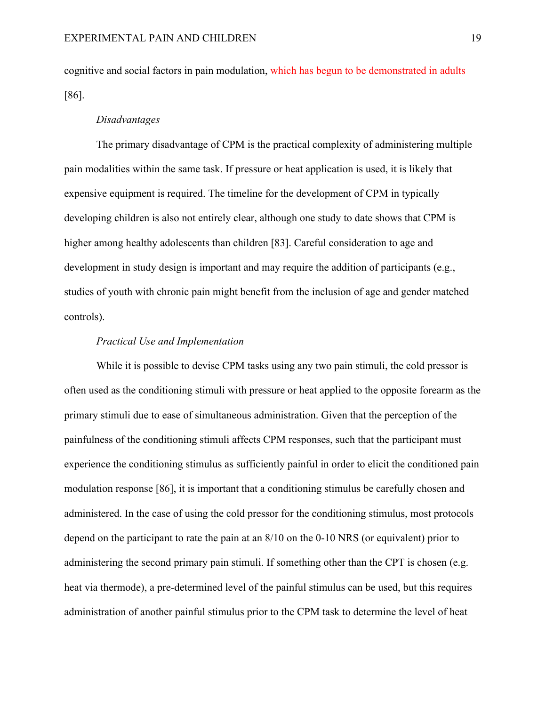cognitive and social factors in pain modulation, which has begun to be demonstrated in adults [86].

# *Disadvantages*

The primary disadvantage of CPM is the practical complexity of administering multiple pain modalities within the same task. If pressure or heat application is used, it is likely that expensive equipment is required. The timeline for the development of CPM in typically developing children is also not entirely clear, although one study to date shows that CPM is higher among healthy adolescents than children [83]. Careful consideration to age and development in study design is important and may require the addition of participants (e.g., studies of youth with chronic pain might benefit from the inclusion of age and gender matched controls).

# *Practical Use and Implementation*

While it is possible to devise CPM tasks using any two pain stimuli, the cold pressor is often used as the conditioning stimuli with pressure or heat applied to the opposite forearm as the primary stimuli due to ease of simultaneous administration. Given that the perception of the painfulness of the conditioning stimuli affects CPM responses, such that the participant must experience the conditioning stimulus as sufficiently painful in order to elicit the conditioned pain modulation response [86], it is important that a conditioning stimulus be carefully chosen and administered. In the case of using the cold pressor for the conditioning stimulus, most protocols depend on the participant to rate the pain at an 8/10 on the 0-10 NRS (or equivalent) prior to administering the second primary pain stimuli. If something other than the CPT is chosen (e.g. heat via thermode), a pre-determined level of the painful stimulus can be used, but this requires administration of another painful stimulus prior to the CPM task to determine the level of heat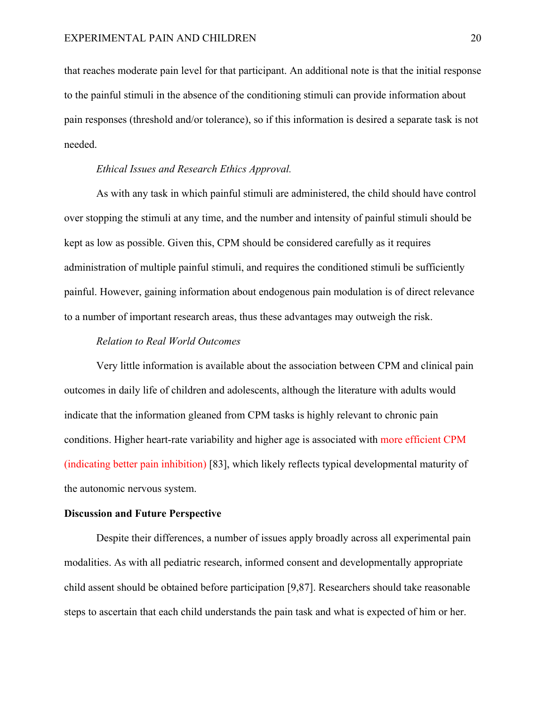that reaches moderate pain level for that participant. An additional note is that the initial response to the painful stimuli in the absence of the conditioning stimuli can provide information about pain responses (threshold and/or tolerance), so if this information is desired a separate task is not needed.

#### *Ethical Issues and Research Ethics Approval.*

As with any task in which painful stimuli are administered, the child should have control over stopping the stimuli at any time, and the number and intensity of painful stimuli should be kept as low as possible. Given this, CPM should be considered carefully as it requires administration of multiple painful stimuli, and requires the conditioned stimuli be sufficiently painful. However, gaining information about endogenous pain modulation is of direct relevance to a number of important research areas, thus these advantages may outweigh the risk.

#### *Relation to Real World Outcomes*

Very little information is available about the association between CPM and clinical pain outcomes in daily life of children and adolescents, although the literature with adults would indicate that the information gleaned from CPM tasks is highly relevant to chronic pain conditions. Higher heart-rate variability and higher age is associated with more efficient CPM (indicating better pain inhibition) [83], which likely reflects typical developmental maturity of the autonomic nervous system.

#### **Discussion and Future Perspective**

Despite their differences, a number of issues apply broadly across all experimental pain modalities. As with all pediatric research, informed consent and developmentally appropriate child assent should be obtained before participation [9,87]. Researchers should take reasonable steps to ascertain that each child understands the pain task and what is expected of him or her.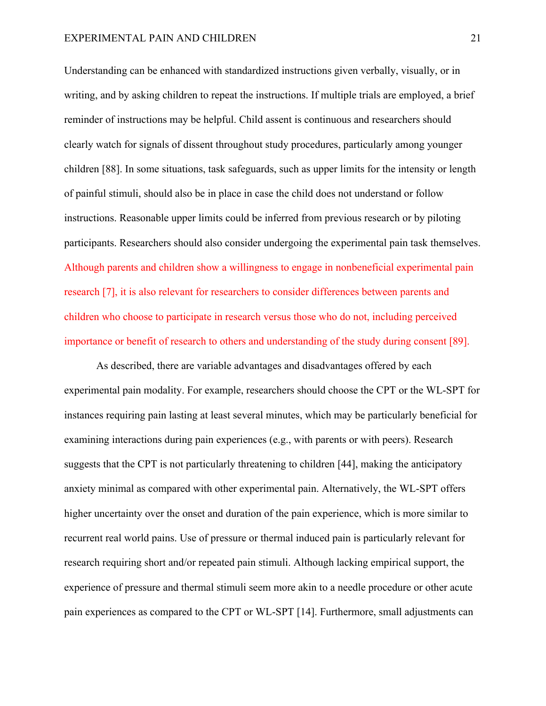Understanding can be enhanced with standardized instructions given verbally, visually, or in writing, and by asking children to repeat the instructions. If multiple trials are employed, a brief reminder of instructions may be helpful. Child assent is continuous and researchers should clearly watch for signals of dissent throughout study procedures, particularly among younger children [88]. In some situations, task safeguards, such as upper limits for the intensity or length of painful stimuli, should also be in place in case the child does not understand or follow instructions. Reasonable upper limits could be inferred from previous research or by piloting participants. Researchers should also consider undergoing the experimental pain task themselves. Although parents and children show a willingness to engage in nonbeneficial experimental pain research [7], it is also relevant for researchers to consider differences between parents and children who choose to participate in research versus those who do not, including perceived importance or benefit of research to others and understanding of the study during consent [89].

As described, there are variable advantages and disadvantages offered by each experimental pain modality. For example, researchers should choose the CPT or the WL-SPT for instances requiring pain lasting at least several minutes, which may be particularly beneficial for examining interactions during pain experiences (e.g., with parents or with peers). Research suggests that the CPT is not particularly threatening to children [44], making the anticipatory anxiety minimal as compared with other experimental pain. Alternatively, the WL-SPT offers higher uncertainty over the onset and duration of the pain experience, which is more similar to recurrent real world pains. Use of pressure or thermal induced pain is particularly relevant for research requiring short and/or repeated pain stimuli. Although lacking empirical support, the experience of pressure and thermal stimuli seem more akin to a needle procedure or other acute pain experiences as compared to the CPT or WL-SPT [14]. Furthermore, small adjustments can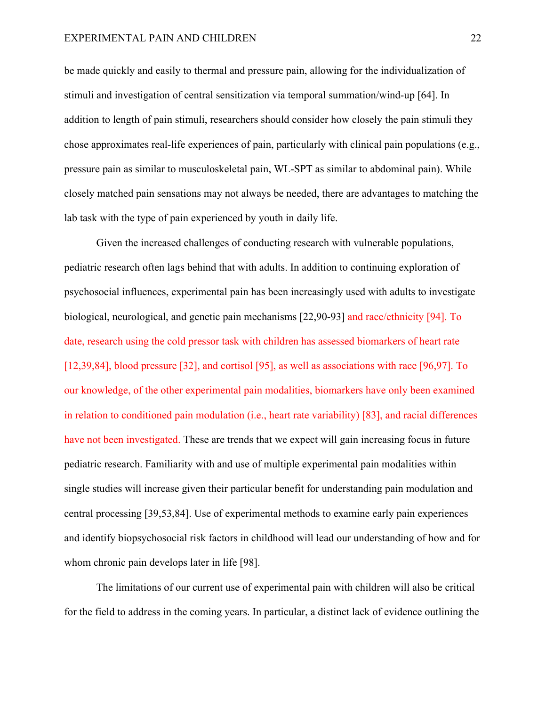#### EXPERIMENTAL PAIN AND CHILDREN 22

be made quickly and easily to thermal and pressure pain, allowing for the individualization of stimuli and investigation of central sensitization via temporal summation/wind-up [64]. In addition to length of pain stimuli, researchers should consider how closely the pain stimuli they chose approximates real-life experiences of pain, particularly with clinical pain populations (e.g., pressure pain as similar to musculoskeletal pain, WL-SPT as similar to abdominal pain). While closely matched pain sensations may not always be needed, there are advantages to matching the lab task with the type of pain experienced by youth in daily life.

Given the increased challenges of conducting research with vulnerable populations, pediatric research often lags behind that with adults. In addition to continuing exploration of psychosocial influences, experimental pain has been increasingly used with adults to investigate biological, neurological, and genetic pain mechanisms [22,90-93] and race/ethnicity [94]. To date, research using the cold pressor task with children has assessed biomarkers of heart rate [12,39,84], blood pressure [32], and cortisol [95], as well as associations with race [96,97]. To our knowledge, of the other experimental pain modalities, biomarkers have only been examined in relation to conditioned pain modulation (i.e., heart rate variability) [83], and racial differences have not been investigated. These are trends that we expect will gain increasing focus in future pediatric research. Familiarity with and use of multiple experimental pain modalities within single studies will increase given their particular benefit for understanding pain modulation and central processing [39,53,84]. Use of experimental methods to examine early pain experiences and identify biopsychosocial risk factors in childhood will lead our understanding of how and for whom chronic pain develops later in life [98].

The limitations of our current use of experimental pain with children will also be critical for the field to address in the coming years. In particular, a distinct lack of evidence outlining the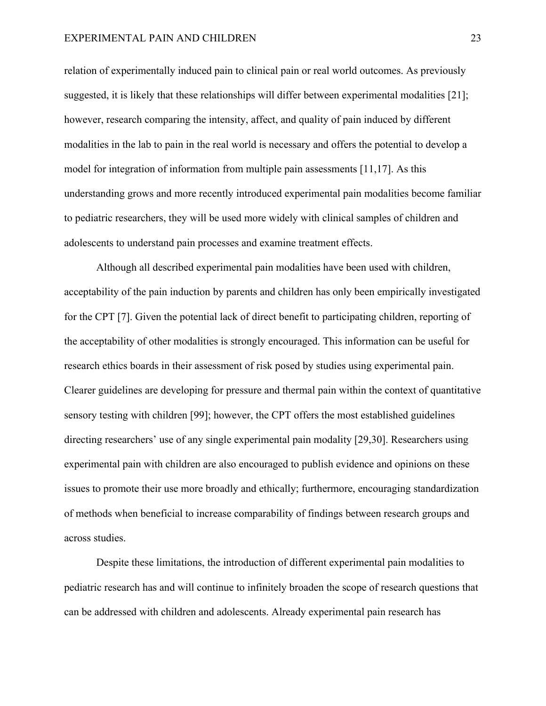#### EXPERIMENTAL PAIN AND CHILDREN 23

relation of experimentally induced pain to clinical pain or real world outcomes. As previously suggested, it is likely that these relationships will differ between experimental modalities [21]; however, research comparing the intensity, affect, and quality of pain induced by different modalities in the lab to pain in the real world is necessary and offers the potential to develop a model for integration of information from multiple pain assessments [11,17]. As this understanding grows and more recently introduced experimental pain modalities become familiar to pediatric researchers, they will be used more widely with clinical samples of children and adolescents to understand pain processes and examine treatment effects.

Although all described experimental pain modalities have been used with children, acceptability of the pain induction by parents and children has only been empirically investigated for the CPT [7]. Given the potential lack of direct benefit to participating children, reporting of the acceptability of other modalities is strongly encouraged. This information can be useful for research ethics boards in their assessment of risk posed by studies using experimental pain. Clearer guidelines are developing for pressure and thermal pain within the context of quantitative sensory testing with children [99]; however, the CPT offers the most established guidelines directing researchers' use of any single experimental pain modality [29,30]. Researchers using experimental pain with children are also encouraged to publish evidence and opinions on these issues to promote their use more broadly and ethically; furthermore, encouraging standardization of methods when beneficial to increase comparability of findings between research groups and across studies.

Despite these limitations, the introduction of different experimental pain modalities to pediatric research has and will continue to infinitely broaden the scope of research questions that can be addressed with children and adolescents. Already experimental pain research has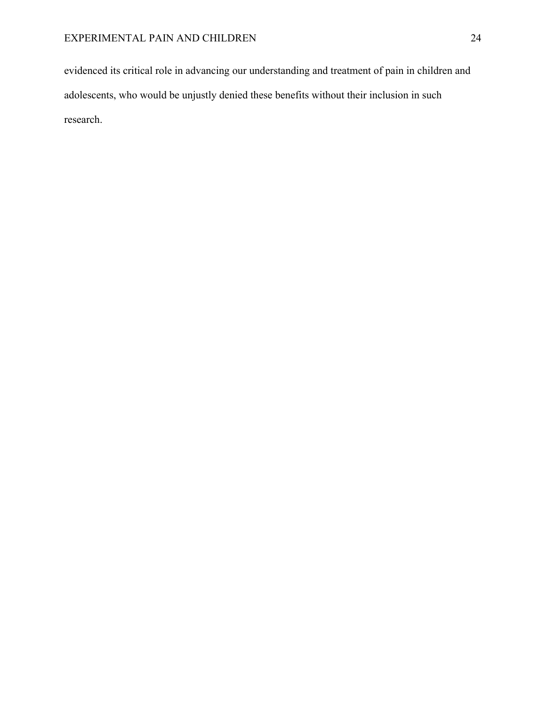evidenced its critical role in advancing our understanding and treatment of pain in children and adolescents, who would be unjustly denied these benefits without their inclusion in such research.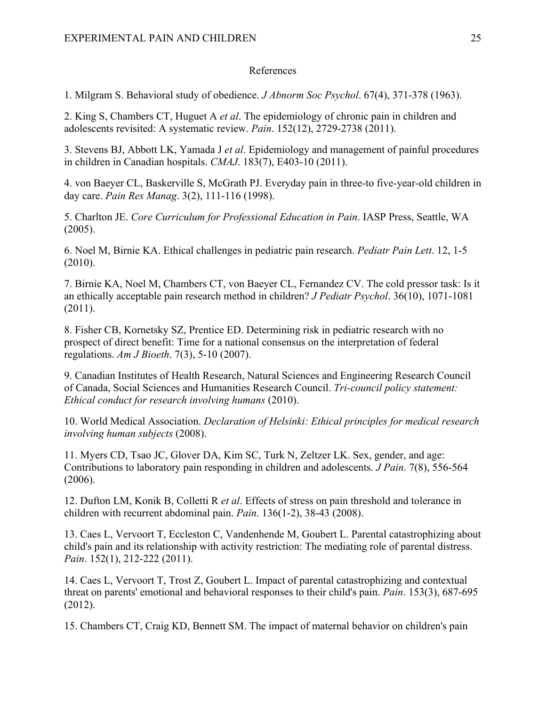# References

1. Milgram S. Behavioral study of obedience. *J Abnorm Soc Psychol*. 67(4), 371-378 (1963).

2. King S, Chambers CT, Huguet A *et al*. The epidemiology of chronic pain in children and adolescents revisited: A systematic review. *Pain*. 152(12), 2729-2738 (2011).

3. Stevens BJ, Abbott LK, Yamada J *et al*. Epidemiology and management of painful procedures in children in Canadian hospitals. *CMAJ*. 183(7), E403-10 (2011).

4. von Baeyer CL, Baskerville S, McGrath PJ. Everyday pain in three-to five-year-old children in day care. *Pain Res Manag*. 3(2), 111-116 (1998).

5. Charlton JE. *Core Curriculum for Professional Education in Pain*. IASP Press, Seattle, WA (2005).

6. Noel M, Birnie KA. Ethical challenges in pediatric pain research. *Pediatr Pain Lett*. 12, 1-5 (2010).

7. Birnie KA, Noel M, Chambers CT, von Baeyer CL, Fernandez CV. The cold pressor task: Is it an ethically acceptable pain research method in children? *J Pediatr Psychol*. 36(10), 1071-1081 (2011).

8. Fisher CB, Kornetsky SZ, Prentice ED. Determining risk in pediatric research with no prospect of direct benefit: Time for a national consensus on the interpretation of federal regulations. *Am J Bioeth*. 7(3), 5-10 (2007).

9. Canadian Institutes of Health Research, Natural Sciences and Engineering Research Council of Canada, Social Sciences and Humanities Research Council. *Tri-council policy statement: Ethical conduct for research involving humans* (2010).

10. World Medical Association. *Declaration of Helsinki: Ethical principles for medical research involving human subjects* (2008).

11. Myers CD, Tsao JC, Glover DA, Kim SC, Turk N, Zeltzer LK. Sex, gender, and age: Contributions to laboratory pain responding in children and adolescents. *J Pain*. 7(8), 556-564 (2006).

12. Dufton LM, Konik B, Colletti R *et al*. Effects of stress on pain threshold and tolerance in children with recurrent abdominal pain. *Pain.* 136(1-2), 38-43 (2008).

13. Caes L, Vervoort T, Eccleston C, Vandenhende M, Goubert L. Parental catastrophizing about child's pain and its relationship with activity restriction: The mediating role of parental distress. *Pain*. 152(1), 212-222 (2011).

14. Caes L, Vervoort T, Trost Z, Goubert L. Impact of parental catastrophizing and contextual threat on parents' emotional and behavioral responses to their child's pain. *Pain*. 153(3), 687-695 (2012).

15. Chambers CT, Craig KD, Bennett SM. The impact of maternal behavior on children's pain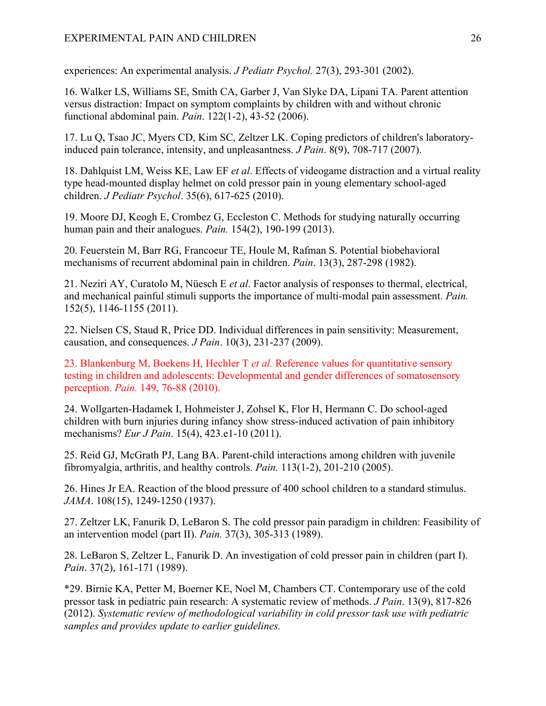experiences: An experimental analysis. *J Pediatr Psychol.* 27(3), 293-301 (2002).

16. Walker LS, Williams SE, Smith CA, Garber J, Van Slyke DA, Lipani TA. Parent attention versus distraction: Impact on symptom complaints by children with and without chronic functional abdominal pain. *Pain*. 122(1-2), 43-52 (2006).

17. Lu Q, Tsao JC, Myers CD, Kim SC, Zeltzer LK. Coping predictors of children's laboratoryinduced pain tolerance, intensity, and unpleasantness. *J Pain*. 8(9), 708-717 (2007).

18. Dahlquist LM, Weiss KE, Law EF *et al*. Effects of videogame distraction and a virtual reality type head-mounted display helmet on cold pressor pain in young elementary school-aged children. *J Pediatr Psychol*. 35(6), 617-625 (2010).

19. Moore DJ, Keogh E, Crombez G, Eccleston C. Methods for studying naturally occurring human pain and their analogues. *Pain.* 154(2), 190-199 (2013).

20. Feuerstein M, Barr RG, Francoeur TE, Houle M, Rafman S. Potential biobehavioral mechanisms of recurrent abdominal pain in children. *Pain*. 13(3), 287-298 (1982).

21. Neziri AY, Curatolo M, Nüesch E *et al*. Factor analysis of responses to thermal, electrical, and mechanical painful stimuli supports the importance of multi-modal pain assessment. *Pain.*  152(5), 1146-1155 (2011).

22. Nielsen CS, Staud R, Price DD. Individual differences in pain sensitivity: Measurement, causation, and consequences. *J Pain*. 10(3), 231-237 (2009).

23. Blankenburg M, Boekens H, Hechler T *et al.* Reference values for quantitative sensory testing in children and adolescents: Developmental and gender differences of somatosensory perception. *Pain.* 149, 76-88 (2010).

24. Wollgarten-Hadamek I, Hohmeister J, Zohsel K, Flor H, Hermann C. Do school-aged children with burn injuries during infancy show stress-induced activation of pain inhibitory mechanisms? *Eur J Pain*. 15(4), 423.e1-10 (2011).

25. Reid GJ, McGrath PJ, Lang BA. Parent-child interactions among children with juvenile fibromyalgia, arthritis, and healthy controls. *Pain.* 113(1-2), 201-210 (2005).

26. Hines Jr EA. Reaction of the blood pressure of 400 school children to a standard stimulus. *JAMA*. 108(15), 1249-1250 (1937).

27. Zeltzer LK, Fanurik D, LeBaron S. The cold pressor pain paradigm in children: Feasibility of an intervention model (part II). *Pain.* 37(3), 305-313 (1989).

28. LeBaron S, Zeltzer L, Fanurik D. An investigation of cold pressor pain in children (part I). *Pain*. 37(2), 161-171 (1989).

\*29. Birnie KA, Petter M, Boerner KE, Noel M, Chambers CT. Contemporary use of the cold pressor task in pediatric pain research: A systematic review of methods. *J Pain*. 13(9), 817-826 (2012). *Systematic review of methodological variability in cold pressor task use with pediatric samples and provides update to earlier guidelines.*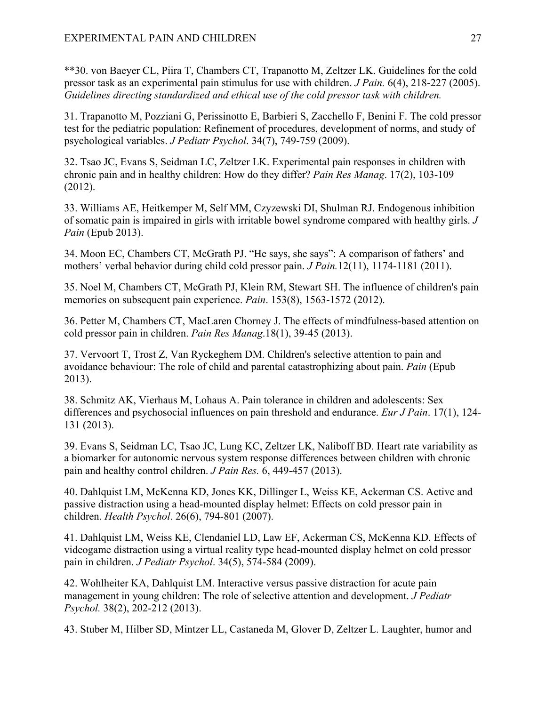\*\*30. von Baeyer CL, Piira T, Chambers CT, Trapanotto M, Zeltzer LK. Guidelines for the cold pressor task as an experimental pain stimulus for use with children. *J Pain.* 6(4), 218-227 (2005). *Guidelines directing standardized and ethical use of the cold pressor task with children.*

31. Trapanotto M, Pozziani G, Perissinotto E, Barbieri S, Zacchello F, Benini F. The cold pressor test for the pediatric population: Refinement of procedures, development of norms, and study of psychological variables. *J Pediatr Psychol*. 34(7), 749-759 (2009).

32. Tsao JC, Evans S, Seidman LC, Zeltzer LK. Experimental pain responses in children with chronic pain and in healthy children: How do they differ? *Pain Res Manag*. 17(2), 103-109 (2012).

33. Williams AE, Heitkemper M, Self MM, Czyzewski DI, Shulman RJ. Endogenous inhibition of somatic pain is impaired in girls with irritable bowel syndrome compared with healthy girls. *J Pain* (Epub 2013).

34. Moon EC, Chambers CT, McGrath PJ. "He says, she says": A comparison of fathers' and mothers' verbal behavior during child cold pressor pain. *J Pain.*12(11), 1174-1181 (2011).

35. Noel M, Chambers CT, McGrath PJ, Klein RM, Stewart SH. The influence of children's pain memories on subsequent pain experience. *Pain*. 153(8), 1563-1572 (2012).

36. Petter M, Chambers CT, MacLaren Chorney J. The effects of mindfulness-based attention on cold pressor pain in children. *Pain Res Manag*.18(1), 39-45 (2013).

37. Vervoort T, Trost Z, Van Ryckeghem DM. Children's selective attention to pain and avoidance behaviour: The role of child and parental catastrophizing about pain. *Pain* (Epub 2013).

38. Schmitz AK, Vierhaus M, Lohaus A. Pain tolerance in children and adolescents: Sex differences and psychosocial influences on pain threshold and endurance. *Eur J Pain*. 17(1), 124- 131 (2013).

39. Evans S, Seidman LC, Tsao JC, Lung KC, Zeltzer LK, Naliboff BD. Heart rate variability as a biomarker for autonomic nervous system response differences between children with chronic pain and healthy control children. *J Pain Res.* 6, 449-457 (2013).

40. Dahlquist LM, McKenna KD, Jones KK, Dillinger L, Weiss KE, Ackerman CS. Active and passive distraction using a head-mounted display helmet: Effects on cold pressor pain in children. *Health Psychol*. 26(6), 794-801 (2007).

41. Dahlquist LM, Weiss KE, Clendaniel LD, Law EF, Ackerman CS, McKenna KD. Effects of videogame distraction using a virtual reality type head-mounted display helmet on cold pressor pain in children. *J Pediatr Psychol*. 34(5), 574-584 (2009).

42. Wohlheiter KA, Dahlquist LM. Interactive versus passive distraction for acute pain management in young children: The role of selective attention and development. *J Pediatr Psychol.* 38(2), 202-212 (2013).

43. Stuber M, Hilber SD, Mintzer LL, Castaneda M, Glover D, Zeltzer L. Laughter, humor and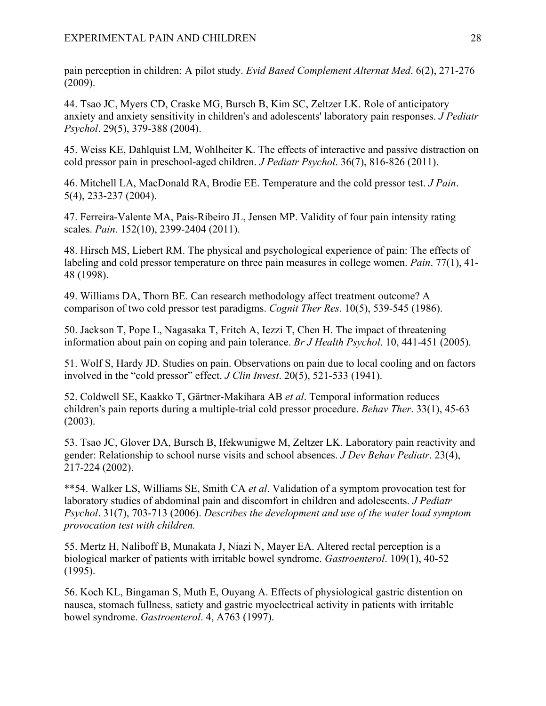pain perception in children: A pilot study. *Evid Based Complement Alternat Med*. 6(2), 271-276 (2009).

44. Tsao JC, Myers CD, Craske MG, Bursch B, Kim SC, Zeltzer LK. Role of anticipatory anxiety and anxiety sensitivity in children's and adolescents' laboratory pain responses. *J Pediatr Psychol*. 29(5), 379-388 (2004).

45. Weiss KE, Dahlquist LM, Wohlheiter K. The effects of interactive and passive distraction on cold pressor pain in preschool-aged children. *J Pediatr Psychol*. 36(7), 816-826 (2011).

46. Mitchell LA, MacDonald RA, Brodie EE. Temperature and the cold pressor test. *J Pain*. 5(4), 233-237 (2004).

47. Ferreira-Valente MA, Pais-Ribeiro JL, Jensen MP. Validity of four pain intensity rating scales. *Pain*. 152(10), 2399-2404 (2011).

48. Hirsch MS, Liebert RM. The physical and psychological experience of pain: The effects of labeling and cold pressor temperature on three pain measures in college women. *Pain*. 77(1), 41- 48 (1998).

49. Williams DA, Thorn BE. Can research methodology affect treatment outcome? A comparison of two cold pressor test paradigms. *Cognit Ther Res*. 10(5), 539-545 (1986).

50. Jackson T, Pope L, Nagasaka T, Fritch A, Iezzi T, Chen H. The impact of threatening information about pain on coping and pain tolerance. *Br J Health Psychol*. 10, 441-451 (2005).

51. Wolf S, Hardy JD. Studies on pain. Observations on pain due to local cooling and on factors involved in the "cold pressor" effect. *J Clin Invest*. 20(5), 521-533 (1941).

52. Coldwell SE, Kaakko T, Gärtner-Makihara AB *et al*. Temporal information reduces children's pain reports during a multiple-trial cold pressor procedure. *Behav Ther*. 33(1), 45-63 (2003).

53. Tsao JC, Glover DA, Bursch B, Ifekwunigwe M, Zeltzer LK. Laboratory pain reactivity and gender: Relationship to school nurse visits and school absences. *J Dev Behav Pediatr*. 23(4), 217-224 (2002).

\*\*54. Walker LS, Williams SE, Smith CA *et al*. Validation of a symptom provocation test for laboratory studies of abdominal pain and discomfort in children and adolescents. *J Pediatr Psychol*. 31(7), 703-713 (2006). *Describes the development and use of the water load symptom provocation test with children.*

55. Mertz H, Naliboff B, Munakata J, Niazi N, Mayer EA. Altered rectal perception is a biological marker of patients with irritable bowel syndrome. *Gastroenterol*. 109(1), 40-52 (1995).

56. Koch KL, Bingaman S, Muth E, Ouyang A. Effects of physiological gastric distention on nausea, stomach fullness, satiety and gastric myoelectrical activity in patients with irritable bowel syndrome. *Gastroenterol*. 4, A763 (1997).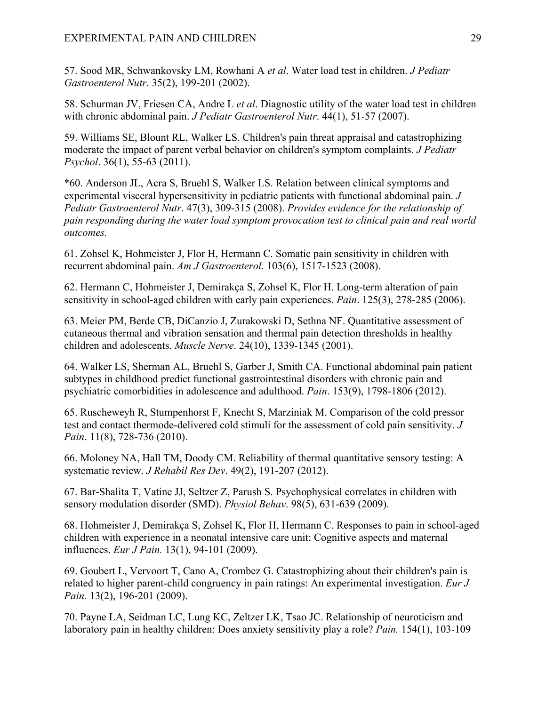57. Sood MR, Schwankovsky LM, Rowhani A *et al*. Water load test in children. *J Pediatr Gastroenterol Nutr*. 35(2), 199-201 (2002).

58. Schurman JV, Friesen CA, Andre L *et al*. Diagnostic utility of the water load test in children with chronic abdominal pain. *J Pediatr Gastroenterol Nutr*. 44(1), 51-57 (2007).

59. Williams SE, Blount RL, Walker LS. Children's pain threat appraisal and catastrophizing moderate the impact of parent verbal behavior on children's symptom complaints. *J Pediatr Psychol*. 36(1), 55-63 (2011).

\*60. Anderson JL, Acra S, Bruehl S, Walker LS. Relation between clinical symptoms and experimental visceral hypersensitivity in pediatric patients with functional abdominal pain. *J Pediatr Gastroenterol Nutr*. 47(3), 309-315 (2008). *Provides evidence for the relationship of pain responding during the water load symptom provocation test to clinical pain and real world outcomes.*

61. Zohsel K, Hohmeister J, Flor H, Hermann C. Somatic pain sensitivity in children with recurrent abdominal pain. *Am J Gastroenterol*. 103(6), 1517-1523 (2008).

62. Hermann C, Hohmeister J, Demirakça S, Zohsel K, Flor H. Long-term alteration of pain sensitivity in school-aged children with early pain experiences. *Pain*. 125(3), 278-285 (2006).

63. Meier PM, Berde CB, DiCanzio J, Zurakowski D, Sethna NF. Quantitative assessment of cutaneous thermal and vibration sensation and thermal pain detection thresholds in healthy children and adolescents. *Muscle Nerve*. 24(10), 1339-1345 (2001).

64. Walker LS, Sherman AL, Bruehl S, Garber J, Smith CA. Functional abdominal pain patient subtypes in childhood predict functional gastrointestinal disorders with chronic pain and psychiatric comorbidities in adolescence and adulthood. *Pain*. 153(9), 1798-1806 (2012).

65. Ruscheweyh R, Stumpenhorst F, Knecht S, Marziniak M. Comparison of the cold pressor test and contact thermode-delivered cold stimuli for the assessment of cold pain sensitivity. *J Pain*. 11(8), 728-736 (2010).

66. Moloney NA, Hall TM, Doody CM. Reliability of thermal quantitative sensory testing: A systematic review. *J Rehabil Res Dev*. 49(2), 191-207 (2012).

67. Bar-Shalita T, Vatine JJ, Seltzer Z, Parush S. Psychophysical correlates in children with sensory modulation disorder (SMD). *Physiol Behav*. 98(5), 631-639 (2009).

68. Hohmeister J, Demirakça S, Zohsel K, Flor H, Hermann C. Responses to pain in school-aged children with experience in a neonatal intensive care unit: Cognitive aspects and maternal influences. *Eur J Pain.* 13(1), 94-101 (2009).

69. Goubert L, Vervoort T, Cano A, Crombez G. Catastrophizing about their children's pain is related to higher parent-child congruency in pain ratings: An experimental investigation. *Eur J Pain.* 13(2), 196-201 (2009).

70. Payne LA, Seidman LC, Lung KC, Zeltzer LK, Tsao JC. Relationship of neuroticism and laboratory pain in healthy children: Does anxiety sensitivity play a role? *Pain.* 154(1), 103-109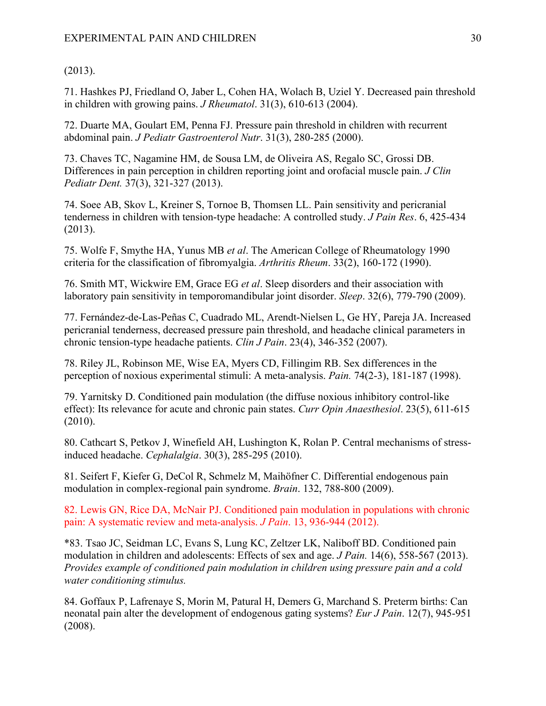# (2013).

71. Hashkes PJ, Friedland O, Jaber L, Cohen HA, Wolach B, Uziel Y. Decreased pain threshold in children with growing pains. *J Rheumatol*. 31(3), 610-613 (2004).

72. Duarte MA, Goulart EM, Penna FJ. Pressure pain threshold in children with recurrent abdominal pain. *J Pediatr Gastroenterol Nutr*. 31(3), 280-285 (2000).

73. Chaves TC, Nagamine HM, de Sousa LM, de Oliveira AS, Regalo SC, Grossi DB. Differences in pain perception in children reporting joint and orofacial muscle pain. *J Clin Pediatr Dent.* 37(3), 321-327 (2013).

74. Soee AB, Skov L, Kreiner S, Tornoe B, Thomsen LL. Pain sensitivity and pericranial tenderness in children with tension-type headache: A controlled study. *J Pain Res*. 6, 425-434 (2013).

75. Wolfe F, Smythe HA, Yunus MB *et al*. The American College of Rheumatology 1990 criteria for the classification of fibromyalgia. *Arthritis Rheum*. 33(2), 160-172 (1990).

76. Smith MT, Wickwire EM, Grace EG *et al*. Sleep disorders and their association with laboratory pain sensitivity in temporomandibular joint disorder. *Sleep*. 32(6), 779-790 (2009).

77. Fernández-de-Las-Peñas C, Cuadrado ML, Arendt-Nielsen L, Ge HY, Pareja JA. Increased pericranial tenderness, decreased pressure pain threshold, and headache clinical parameters in chronic tension-type headache patients. *Clin J Pain*. 23(4), 346-352 (2007).

78. Riley JL, Robinson ME, Wise EA, Myers CD, Fillingim RB. Sex differences in the perception of noxious experimental stimuli: A meta-analysis. *Pain.* 74(2-3), 181-187 (1998).

79. Yarnitsky D. Conditioned pain modulation (the diffuse noxious inhibitory control-like effect): Its relevance for acute and chronic pain states. *Curr Opin Anaesthesiol*. 23(5), 611-615 (2010).

80. Cathcart S, Petkov J, Winefield AH, Lushington K, Rolan P. Central mechanisms of stressinduced headache. *Cephalalgia*. 30(3), 285-295 (2010).

81. Seifert F, Kiefer G, DeCol R, Schmelz M, Maihöfner C. Differential endogenous pain modulation in complex-regional pain syndrome. *Brain*. 132, 788-800 (2009).

82. Lewis GN, Rice DA, McNair PJ. Conditioned pain modulation in populations with chronic pain: A systematic review and meta-analysis. *J Pain*. 13, 936-944 (2012).

\*83. Tsao JC, Seidman LC, Evans S, Lung KC, Zeltzer LK, Naliboff BD. Conditioned pain modulation in children and adolescents: Effects of sex and age. *J Pain.* 14(6), 558-567 (2013). *Provides example of conditioned pain modulation in children using pressure pain and a cold water conditioning stimulus.*

84. Goffaux P, Lafrenaye S, Morin M, Patural H, Demers G, Marchand S. Preterm births: Can neonatal pain alter the development of endogenous gating systems? *Eur J Pain*. 12(7), 945-951 (2008).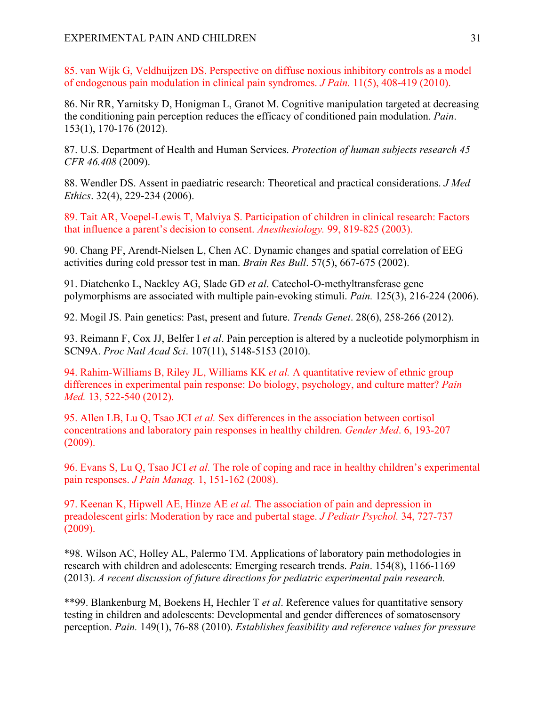85. van Wijk G, Veldhuijzen DS. Perspective on diffuse noxious inhibitory controls as a model of endogenous pain modulation in clinical pain syndromes. *J Pain.* 11(5), 408-419 (2010).

86. Nir RR, Yarnitsky D, Honigman L, Granot M. Cognitive manipulation targeted at decreasing the conditioning pain perception reduces the efficacy of conditioned pain modulation. *Pain*. 153(1), 170-176 (2012).

87. U.S. Department of Health and Human Services. *Protection of human subjects research 45 CFR 46.408* (2009).

88. Wendler DS. Assent in paediatric research: Theoretical and practical considerations. *J Med Ethics*. 32(4), 229-234 (2006).

89. Tait AR, Voepel-Lewis T, Malviya S. Participation of children in clinical research: Factors that influence a parent's decision to consent. *Anesthesiology.* 99, 819-825 (2003).

90. Chang PF, Arendt-Nielsen L, Chen AC. Dynamic changes and spatial correlation of EEG activities during cold pressor test in man. *Brain Res Bull*. 57(5), 667-675 (2002).

91. Diatchenko L, Nackley AG, Slade GD *et al*. Catechol-O-methyltransferase gene polymorphisms are associated with multiple pain-evoking stimuli. *Pain.* 125(3), 216-224 (2006).

92. Mogil JS. Pain genetics: Past, present and future. *Trends Genet*. 28(6), 258-266 (2012).

93. Reimann F, Cox JJ, Belfer I *et al*. Pain perception is altered by a nucleotide polymorphism in SCN9A. *Proc Natl Acad Sci*. 107(11), 5148-5153 (2010).

94. Rahim-Williams B, Riley JL, Williams KK *et al.* A quantitative review of ethnic group differences in experimental pain response: Do biology, psychology, and culture matter? *Pain Med.* 13, 522-540 (2012).

95. Allen LB, Lu Q, Tsao JCI *et al.* Sex differences in the association between cortisol concentrations and laboratory pain responses in healthy children. *Gender Med*. 6, 193-207 (2009).

96. Evans S, Lu Q, Tsao JCI *et al.* The role of coping and race in healthy children's experimental pain responses. *J Pain Manag.* 1, 151-162 (2008).

97. Keenan K, Hipwell AE, Hinze AE *et al.* The association of pain and depression in preadolescent girls: Moderation by race and pubertal stage. *J Pediatr Psychol.* 34, 727-737 (2009).

\*98. Wilson AC, Holley AL, Palermo TM. Applications of laboratory pain methodologies in research with children and adolescents: Emerging research trends. *Pain*. 154(8), 1166-1169 (2013). *A recent discussion of future directions for pediatric experimental pain research.* 

\*\*99. Blankenburg M, Boekens H, Hechler T *et al*. Reference values for quantitative sensory testing in children and adolescents: Developmental and gender differences of somatosensory perception. *Pain.* 149(1), 76-88 (2010). *Establishes feasibility and reference values for pressure*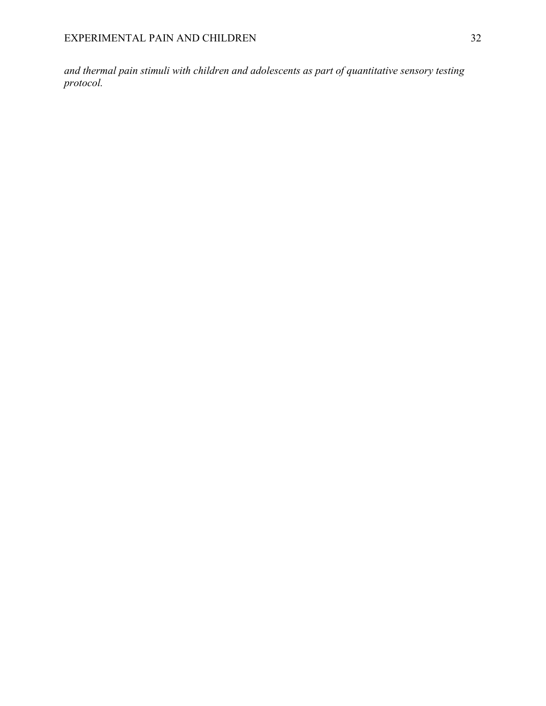*and thermal pain stimuli with children and adolescents as part of quantitative sensory testing protocol.*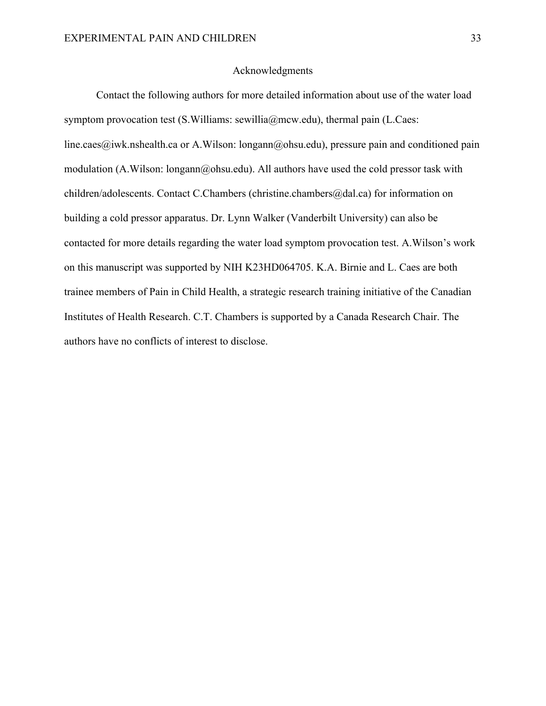#### Acknowledgments

Contact the following authors for more detailed information about use of the water load symptom provocation test (S.Williams: sewillia@mcw.edu), thermal pain (L.Caes: line.caes@iwk.nshealth.ca or A.Wilson: longann@ohsu.edu), pressure pain and conditioned pain modulation (A.Wilson: longann@ohsu.edu). All authors have used the cold pressor task with children/adolescents. Contact C.Chambers (christine.chambers@dal.ca) for information on building a cold pressor apparatus. Dr. Lynn Walker (Vanderbilt University) can also be contacted for more details regarding the water load symptom provocation test. A.Wilson's work on this manuscript was supported by NIH K23HD064705. K.A. Birnie and L. Caes are both trainee members of Pain in Child Health, a strategic research training initiative of the Canadian Institutes of Health Research. C.T. Chambers is supported by a Canada Research Chair. The authors have no conflicts of interest to disclose.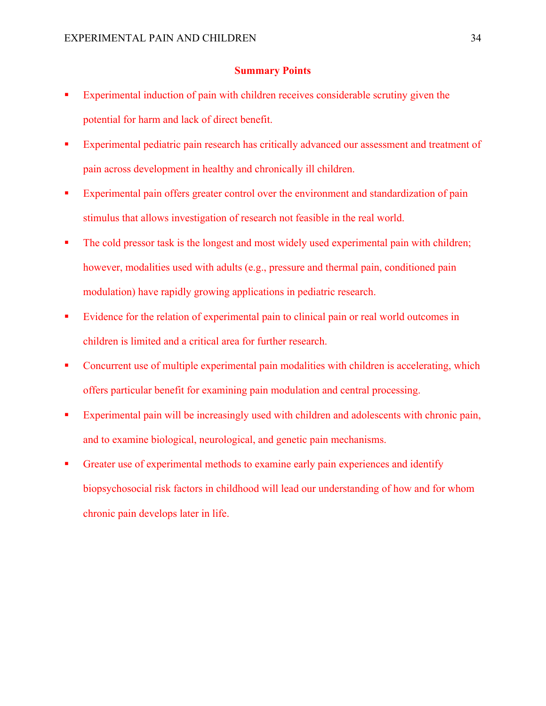#### **Summary Points**

- Experimental induction of pain with children receives considerable scrutiny given the potential for harm and lack of direct benefit.
- Experimental pediatric pain research has critically advanced our assessment and treatment of pain across development in healthy and chronically ill children.
- Experimental pain offers greater control over the environment and standardization of pain stimulus that allows investigation of research not feasible in the real world.
- The cold pressor task is the longest and most widely used experimental pain with children; however, modalities used with adults (e.g., pressure and thermal pain, conditioned pain modulation) have rapidly growing applications in pediatric research.
- Evidence for the relation of experimental pain to clinical pain or real world outcomes in children is limited and a critical area for further research.
- Concurrent use of multiple experimental pain modalities with children is accelerating, which offers particular benefit for examining pain modulation and central processing.
- Experimental pain will be increasingly used with children and adolescents with chronic pain, and to examine biological, neurological, and genetic pain mechanisms.
- § Greater use of experimental methods to examine early pain experiences and identify biopsychosocial risk factors in childhood will lead our understanding of how and for whom chronic pain develops later in life.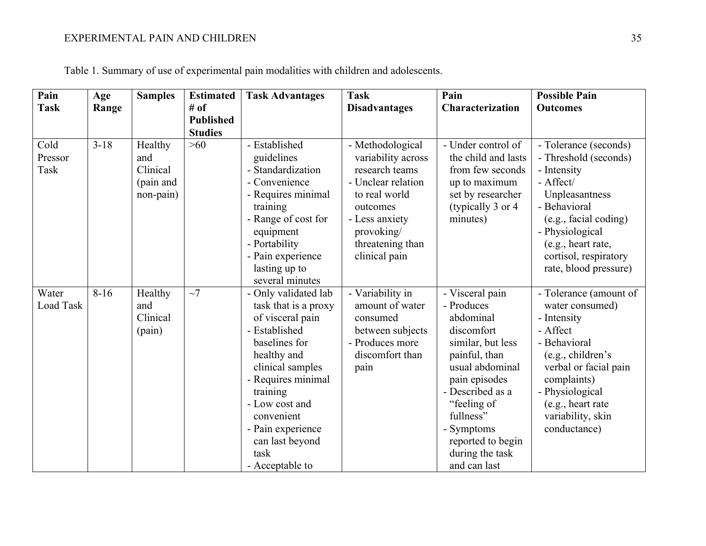| Pain                      | Age      | <b>Samples</b>                                       | <b>Estimated</b>                   | <b>Task Advantages</b>                                                                                                                                                                                                                                                     | <b>Task</b>                                                                                                                                                                      | Pain                                                                                                                                                                                                                                                     | <b>Possible Pain</b>                                                                                                                                                                                                             |
|---------------------------|----------|------------------------------------------------------|------------------------------------|----------------------------------------------------------------------------------------------------------------------------------------------------------------------------------------------------------------------------------------------------------------------------|----------------------------------------------------------------------------------------------------------------------------------------------------------------------------------|----------------------------------------------------------------------------------------------------------------------------------------------------------------------------------------------------------------------------------------------------------|----------------------------------------------------------------------------------------------------------------------------------------------------------------------------------------------------------------------------------|
| <b>Task</b>               | Range    |                                                      | # of                               |                                                                                                                                                                                                                                                                            | <b>Disadvantages</b>                                                                                                                                                             | Characterization                                                                                                                                                                                                                                         | <b>Outcomes</b>                                                                                                                                                                                                                  |
|                           |          |                                                      | <b>Published</b><br><b>Studies</b> |                                                                                                                                                                                                                                                                            |                                                                                                                                                                                  |                                                                                                                                                                                                                                                          |                                                                                                                                                                                                                                  |
| Cold<br>Pressor<br>Task   | $3 - 18$ | Healthy<br>and<br>Clinical<br>(pain and<br>non-pain) | $>60$                              | - Established<br>guidelines<br>- Standardization<br>- Convenience<br>- Requires minimal<br>training<br>- Range of cost for<br>equipment<br>- Portability<br>- Pain experience<br>lasting up to<br>several minutes                                                          | - Methodological<br>variability across<br>research teams<br>- Unclear relation<br>to real world<br>outcomes<br>- Less anxiety<br>provoking/<br>threatening than<br>clinical pain | - Under control of<br>the child and lasts<br>from few seconds<br>up to maximum<br>set by researcher<br>(typically 3 or 4)<br>minutes)                                                                                                                    | - Tolerance (seconds)<br>- Threshold (seconds)<br>- Intensity<br>- Affect/<br>Unpleasantness<br>- Behavioral<br>(e.g., facial coding)<br>- Physiological<br>(e.g., heart rate,<br>cortisol, respiratory<br>rate, blood pressure) |
| Water<br><b>Load Task</b> | $8-16$   | Healthy<br>and<br>Clinical<br>(pain)                 | $\sim$ 7                           | - Only validated lab<br>task that is a proxy<br>of visceral pain<br>- Established<br>baselines for<br>healthy and<br>clinical samples<br>- Requires minimal<br>training<br>- Low cost and<br>convenient<br>- Pain experience<br>can last beyond<br>task<br>- Acceptable to | - Variability in<br>amount of water<br>consumed<br>between subjects<br>- Produces more<br>discomfort than<br>pain                                                                | - Visceral pain<br>- Produces<br>abdominal<br>discomfort<br>similar, but less<br>painful, than<br>usual abdominal<br>pain episodes<br>- Described as a<br>"feeling of<br>fullness"<br>- Symptoms<br>reported to begin<br>during the task<br>and can last | - Tolerance (amount of<br>water consumed)<br>- Intensity<br>- Affect<br>- Behavioral<br>(e.g., children's<br>verbal or facial pain<br>complaints)<br>- Physiological<br>(e.g., heart rate<br>variability, skin<br>conductance)   |

Table 1. Summary of use of experimental pain modalities with children and adolescents.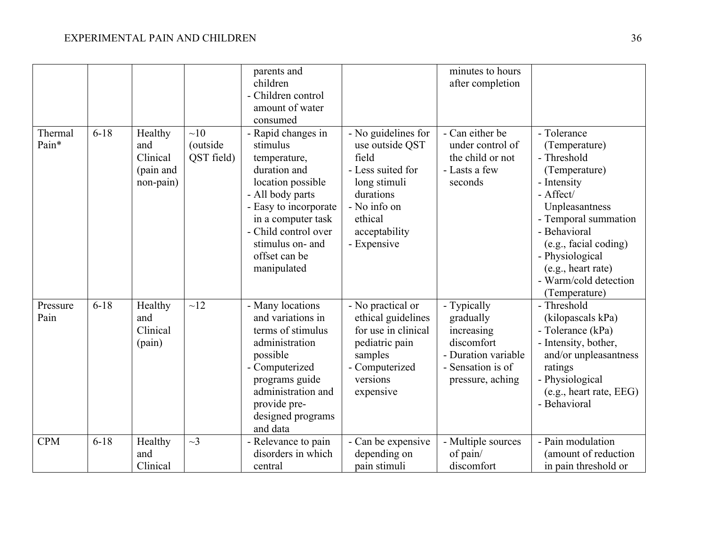|                  |          |                                                      |                               | parents and<br>children<br>- Children control<br>amount of water<br>consumed                                                                                                                                                       |                                                                                                                                                              | minutes to hours<br>after completion                                                                                 |                                                                                                                                                                                                                                                                |
|------------------|----------|------------------------------------------------------|-------------------------------|------------------------------------------------------------------------------------------------------------------------------------------------------------------------------------------------------------------------------------|--------------------------------------------------------------------------------------------------------------------------------------------------------------|----------------------------------------------------------------------------------------------------------------------|----------------------------------------------------------------------------------------------------------------------------------------------------------------------------------------------------------------------------------------------------------------|
| Thermal<br>Pain* | $6 - 18$ | Healthy<br>and<br>Clinical<br>(pain and<br>non-pain) | ~10<br>(outside<br>QST field) | - Rapid changes in<br>stimulus<br>temperature,<br>duration and<br>location possible<br>- All body parts<br>- Easy to incorporate<br>in a computer task<br>- Child control over<br>stimulus on- and<br>offset can be<br>manipulated | - No guidelines for<br>use outside QST<br>field<br>- Less suited for<br>long stimuli<br>durations<br>- No info on<br>ethical<br>acceptability<br>- Expensive | - Can either be<br>under control of<br>the child or not<br>- Lasts a few<br>seconds                                  | - Tolerance<br>(Temperature)<br>- Threshold<br>(Temperature)<br>- Intensity<br>- Affect/<br>Unpleasantness<br>- Temporal summation<br>- Behavioral<br>(e.g., facial coding)<br>- Physiological<br>(e.g., heart rate)<br>- Warm/cold detection<br>(Temperature) |
| Pressure<br>Pain | $6 - 18$ | Healthy<br>and<br>Clinical<br>(pain)                 | ~12                           | - Many locations<br>and variations in<br>terms of stimulus<br>administration<br>possible<br>- Computerized<br>programs guide<br>administration and<br>provide pre-<br>designed programs<br>and data                                | - No practical or<br>ethical guidelines<br>for use in clinical<br>pediatric pain<br>samples<br>- Computerized<br>versions<br>expensive                       | - Typically<br>gradually<br>increasing<br>discomfort<br>- Duration variable<br>- Sensation is of<br>pressure, aching | - Threshold<br>(kilopascals kPa)<br>- Tolerance (kPa)<br>- Intensity, bother,<br>and/or unpleasantness<br>ratings<br>- Physiological<br>(e.g., heart rate, EEG)<br>- Behavioral                                                                                |
| <b>CPM</b>       | $6 - 18$ | Healthy<br>and<br>Clinical                           | $\sim$ 3                      | - Relevance to pain<br>disorders in which<br>central                                                                                                                                                                               | - Can be expensive<br>depending on<br>pain stimuli                                                                                                           | - Multiple sources<br>of pain/<br>discomfort                                                                         | - Pain modulation<br>(amount of reduction<br>in pain threshold or                                                                                                                                                                                              |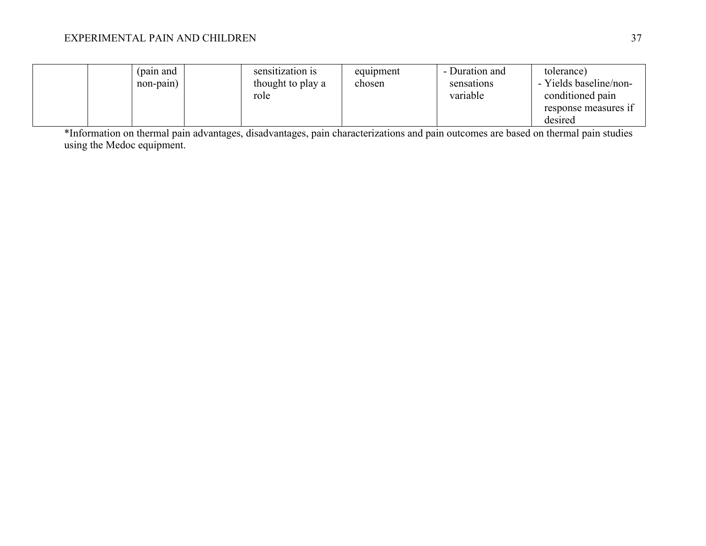# EXPERIMENTAL PAIN AND CHILDREN 37

|  | (pain and<br>non-pain) |  | sensitization is<br>thought to play a<br>role | equipment<br>chosen | - Duration and<br>sensations<br>variable | tolerance)<br>- Yields baseline/non-<br>conditioned pain<br>response measures if<br>desired |
|--|------------------------|--|-----------------------------------------------|---------------------|------------------------------------------|---------------------------------------------------------------------------------------------|
|--|------------------------|--|-----------------------------------------------|---------------------|------------------------------------------|---------------------------------------------------------------------------------------------|

\*Information on thermal pain advantages, disadvantages, pain characterizations and pain outcomes are based on thermal pain studies using the Medoc equipment.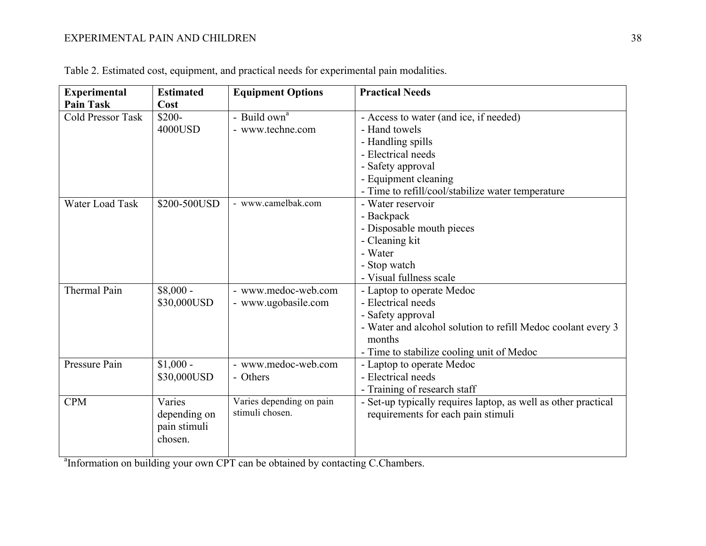# EXPERIMENTAL PAIN AND CHILDREN 38

| <b>Experimental</b><br><b>Pain Task</b> | <b>Estimated</b><br>Cost                          | <b>Equipment Options</b>                    | <b>Practical Needs</b>                                                                                                                                                                      |
|-----------------------------------------|---------------------------------------------------|---------------------------------------------|---------------------------------------------------------------------------------------------------------------------------------------------------------------------------------------------|
| <b>Cold Pressor Task</b>                | \$200-<br>4000USD                                 | - Build $owna$<br>- www.techne.com          | - Access to water (and ice, if needed)<br>- Hand towels                                                                                                                                     |
|                                         |                                                   |                                             | - Handling spills<br>- Electrical needs<br>- Safety approval                                                                                                                                |
|                                         |                                                   |                                             | - Equipment cleaning<br>- Time to refill/cool/stabilize water temperature                                                                                                                   |
| Water Load Task                         | \$200-500USD                                      | - www.camelbak.com                          | - Water reservoir<br>- Backpack<br>- Disposable mouth pieces<br>- Cleaning kit<br>- Water<br>- Stop watch                                                                                   |
|                                         |                                                   |                                             | - Visual fullness scale                                                                                                                                                                     |
| Thermal Pain                            | $$8,000 -$<br>\$30,000USD                         | - www.medoc-web.com<br>- www.ugobasile.com  | - Laptop to operate Medoc<br>- Electrical needs<br>- Safety approval<br>- Water and alcohol solution to refill Medoc coolant every 3<br>months<br>- Time to stabilize cooling unit of Medoc |
| Pressure Pain                           | $$1,000 -$<br>\$30,000USD                         | - www.medoc-web.com<br>- Others             | - Laptop to operate Medoc<br>- Electrical needs<br>- Training of research staff                                                                                                             |
| <b>CPM</b>                              | Varies<br>depending on<br>pain stimuli<br>chosen. | Varies depending on pain<br>stimuli chosen. | - Set-up typically requires laptop, as well as other practical<br>requirements for each pain stimuli                                                                                        |

| Table 2. Estimated cost, equipment, and practical needs for experimental pain modalities. |  |
|-------------------------------------------------------------------------------------------|--|
|-------------------------------------------------------------------------------------------|--|

<sup>a</sup>Information on building your own CPT can be obtained by contacting C.Chambers.